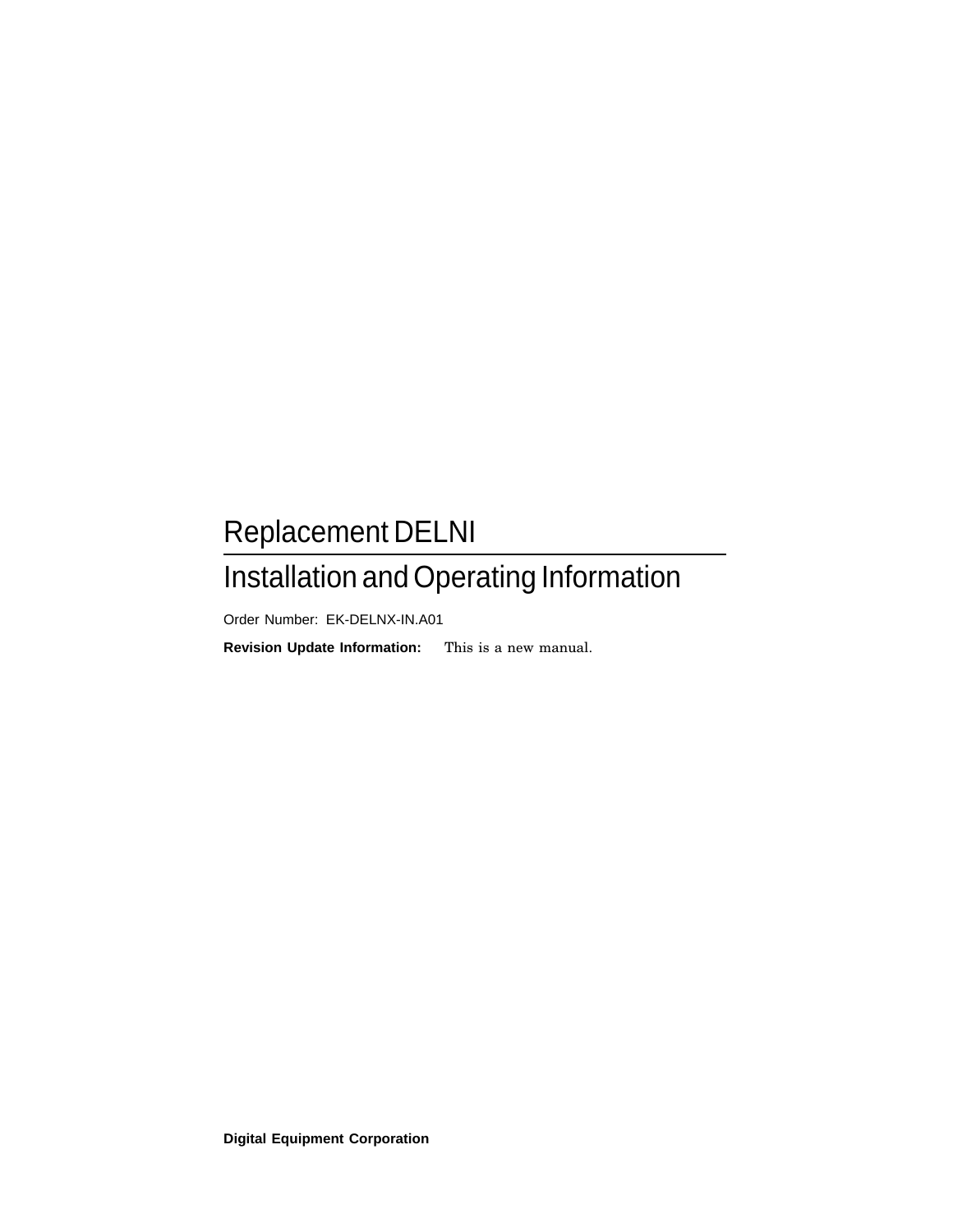## Replacement DELNI

## Installation and Operating Information

Order Number: EK-DELNX-IN.A01

**Revision Update Information:** This is a new manual.

**Digital Equipment Corporation**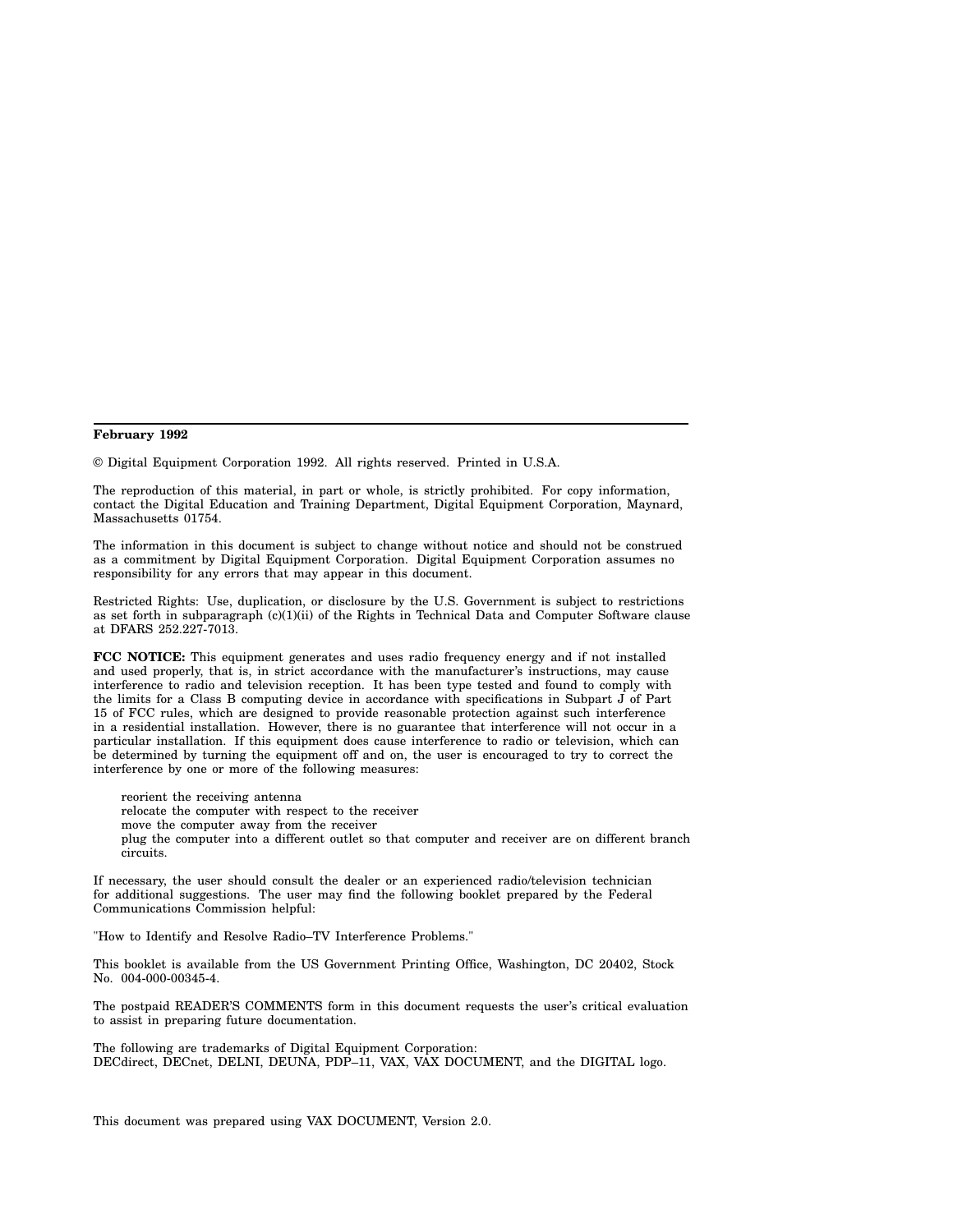#### **February 1992**

© Digital Equipment Corporation 1992. All rights reserved. Printed in U.S.A.

The reproduction of this material, in part or whole, is strictly prohibited. For copy information, contact the Digital Education and Training Department, Digital Equipment Corporation, Maynard, Massachusetts 01754.

The information in this document is subject to change without notice and should not be construed as a commitment by Digital Equipment Corporation. Digital Equipment Corporation assumes no responsibility for any errors that may appear in this document.

Restricted Rights: Use, duplication, or disclosure by the U.S. Government is subject to restrictions as set forth in subparagraph (c)(1)(ii) of the Rights in Technical Data and Computer Software clause at DFARS 252.227-7013.

**FCC NOTICE:** This equipment generates and uses radio frequency energy and if not installed and used properly, that is, in strict accordance with the manufacturer's instructions, may cause interference to radio and television reception. It has been type tested and found to comply with the limits for a Class B computing device in accordance with specifications in Subpart  $\tilde{J}$  of Part 15 of FCC rules, which are designed to provide reasonable protection against such interference in a residential installation. However, there is no guarantee that interference will not occur in a particular installation. If this equipment does cause interference to radio or television, which can be determined by turning the equipment off and on, the user is encouraged to try to correct the interference by one or more of the following measures:

reorient the receiving antenna relocate the computer with respect to the receiver move the computer away from the receiver plug the computer into a different outlet so that computer and receiver are on different branch circuits.

If necessary, the user should consult the dealer or an experienced radio/television technician for additional suggestions. The user may find the following booklet prepared by the Federal Communications Commission helpful:

"How to Identify and Resolve Radio–TV Interference Problems."

This booklet is available from the US Government Printing Office, Washington, DC 20402, Stock No. 004-000-00345-4.

The postpaid READER'S COMMENTS form in this document requests the user's critical evaluation to assist in preparing future documentation.

The following are trademarks of Digital Equipment Corporation: DECdirect, DECnet, DELNI, DEUNA, PDP-11, VAX, VAX DOCUMENT, and the DIGITAL logo.

This document was prepared using VAX DOCUMENT, Version 2.0.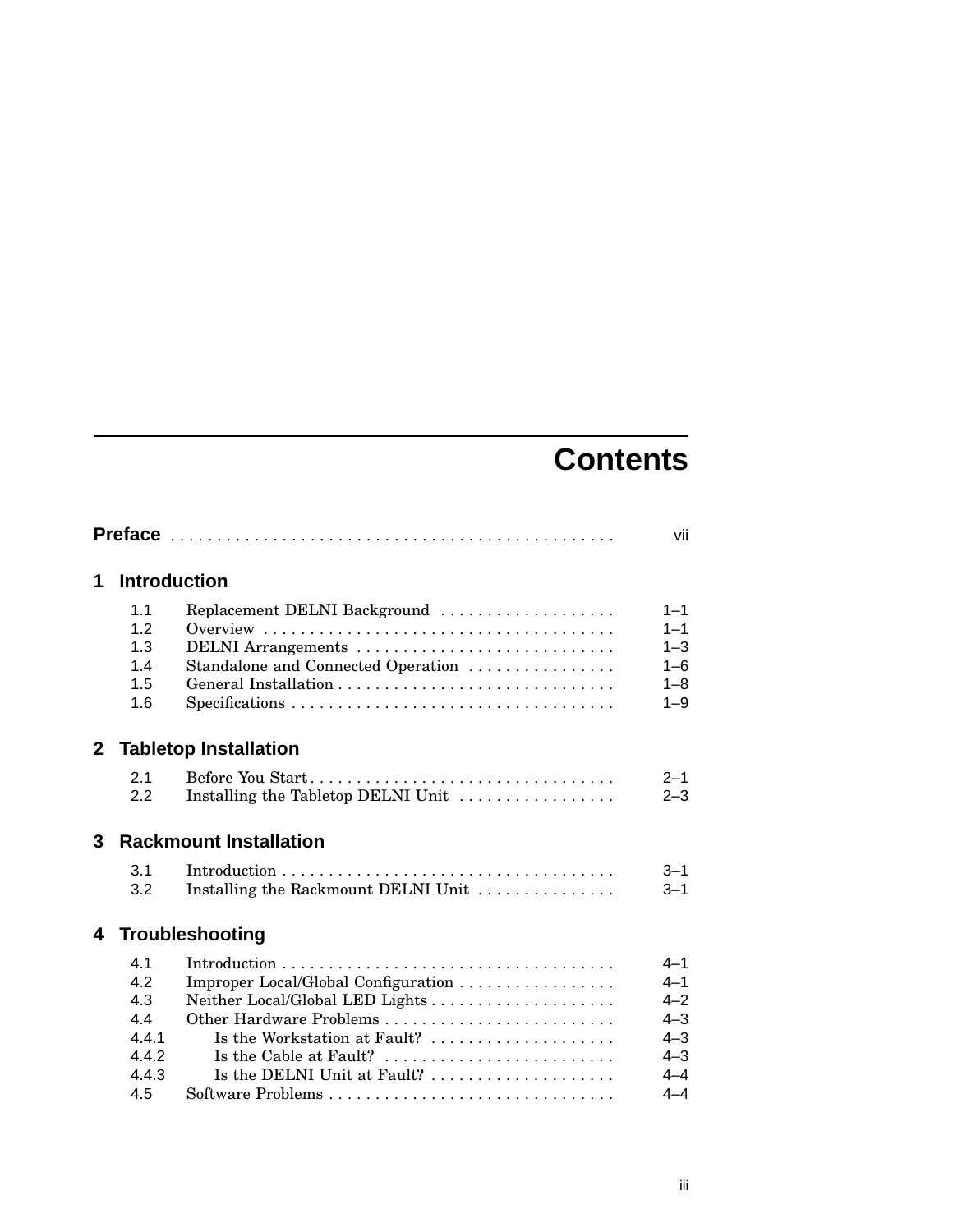## **Contents**

|              |                               |                                                                                                       | vii                |
|--------------|-------------------------------|-------------------------------------------------------------------------------------------------------|--------------------|
| 1            | <b>Introduction</b>           |                                                                                                       |                    |
|              | 1.1<br>12                     | Replacement DELNI Background                                                                          | $1 - 1$<br>$1 - 1$ |
|              | 1.3<br>1.4                    | Standalone and Connected Operation                                                                    | $1 - 3$<br>$1 - 6$ |
|              | 1.5                           |                                                                                                       | $1 - 8$            |
|              | 1.6                           |                                                                                                       | $1 - 9$            |
| $\mathbf{2}$ |                               | <b>Tabletop Installation</b>                                                                          |                    |
|              | 2.1                           | Before You Start                                                                                      | $2 - 1$            |
|              | 2.2                           | Installing the Tabletop DELNI Unit                                                                    | $2 - 3$            |
| 3            | <b>Rackmount Installation</b> |                                                                                                       |                    |
|              | 3.1                           |                                                                                                       | $3 - 1$            |
|              | 3.2                           | Installing the Rackmount DELNI Unit                                                                   | $3 - 1$            |
| 4            |                               | <b>Troubleshooting</b>                                                                                |                    |
|              | 4.1                           |                                                                                                       | $4 - 1$            |
|              | 4.2                           | Improper Local/Global Configuration                                                                   | $4 - 1$            |
|              | 4.3                           | Neither Local/Global LED Lights                                                                       | $4 - 2$            |
|              | 4.4                           | Other Hardware Problems                                                                               | $4 - 3$            |
|              | 4.4.1                         | Is the Workstation at Fault?                                                                          | $4 - 3$            |
|              | 4.4.2<br>4.4.3                | Is the Cable at Fault? $\dots\dots\dots\dots\dots\dots\dots\dots\dots$<br>Is the DELNI Unit at Fault? | $4 - 3$<br>$4 - 4$ |
|              | 4.5                           |                                                                                                       | $4 - 4$            |
|              |                               |                                                                                                       |                    |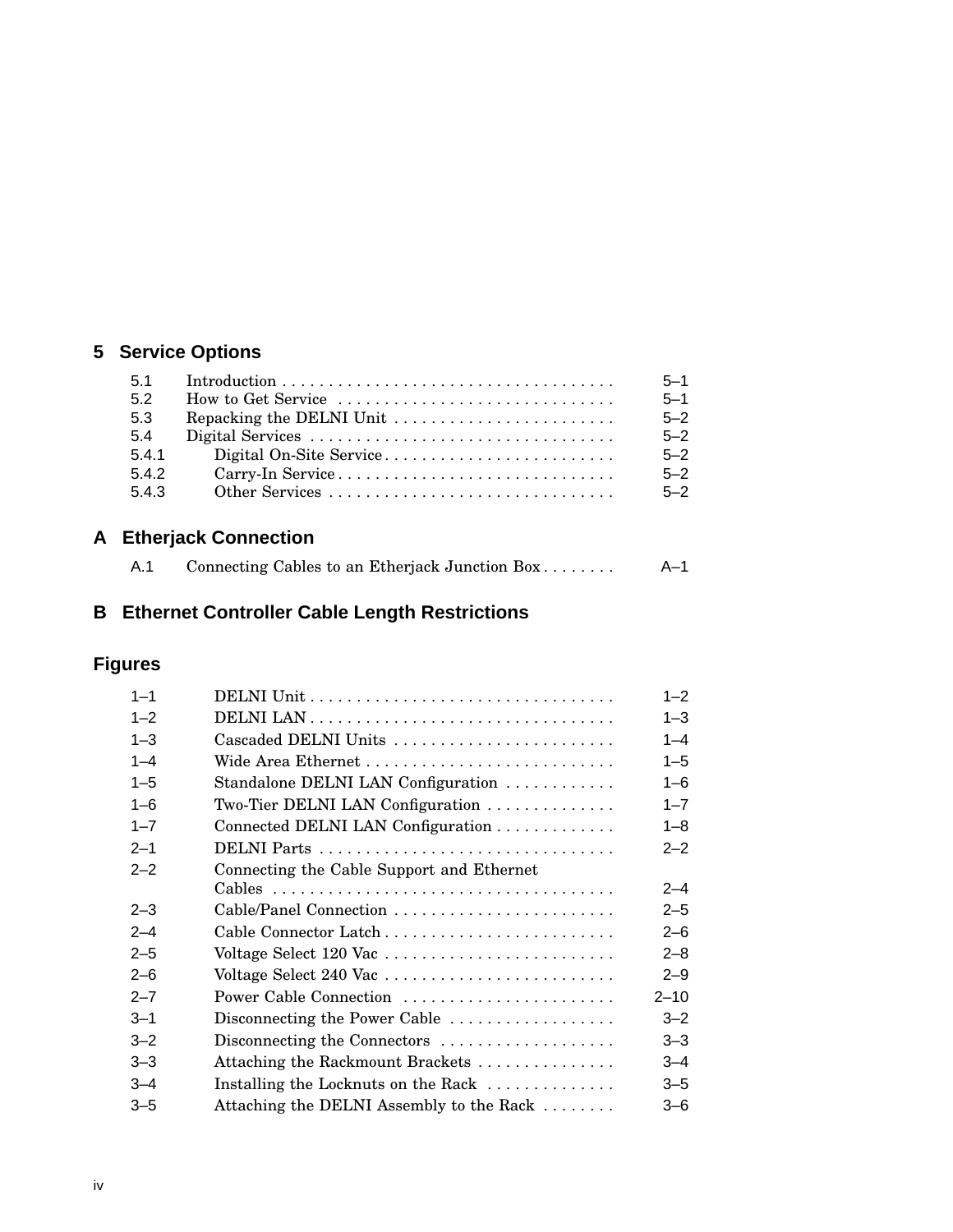## **5 Service Options**

| 5.1   |                                                                                   | $5 - 1$ |
|-------|-----------------------------------------------------------------------------------|---------|
| 5.2   | How to Get Service $\dots\dots\dots\dots\dots\dots\dots\dots\dots\dots\dots\dots$ | $5 - 1$ |
| 5.3   |                                                                                   | $5 - 2$ |
| 5.4   |                                                                                   | $5 - 2$ |
| 5.4.1 |                                                                                   | $5 - 2$ |
| 542   |                                                                                   | $5 - 2$ |
| 5.4.3 |                                                                                   | $5 - 2$ |
|       |                                                                                   |         |

## **A Etherjack Connection**

| A.1 | Connecting Cables to an Etherjack Junction Box | A–1 |
|-----|------------------------------------------------|-----|
|     |                                                |     |

## **B Ethernet Controller Cable Length Restrictions**

## **Figures**

| $1 - 1$ |                                                                               | $1 - 2$  |
|---------|-------------------------------------------------------------------------------|----------|
| $1 - 2$ |                                                                               | $1 - 3$  |
| $1 - 3$ | Cascaded DELNI Units                                                          | $1 - 4$  |
| $1 - 4$ |                                                                               | $1 - 5$  |
| $1 - 5$ | Standalone DELNI LAN Configuration                                            | $1 - 6$  |
| $1 - 6$ | Two-Tier DELNI LAN Configuration                                              |          |
| $1 - 7$ | Connected DELNI LAN Configuration                                             | $1 - 8$  |
| $2 - 1$ |                                                                               | $2 - 2$  |
| $2 - 2$ | Connecting the Cable Support and Ethernet                                     |          |
|         |                                                                               | $2 - 4$  |
| $2 - 3$ | Cable/Panel Connection                                                        | $2 - 5$  |
| $2 - 4$ |                                                                               | $2 - 6$  |
| $2 - 5$ | Voltage Select 120 Vac                                                        | $2 - 8$  |
| $2 - 6$ | Voltage Select $240$ Vac $\dots\dots\dots\dots\dots\dots\dots\dots\dots\dots$ | $2 - 9$  |
| $2 - 7$ | Power Cable Connection                                                        | $2 - 10$ |
| $3 - 1$ | Disconnecting the Power Cable                                                 | $3 - 2$  |
| $3 - 2$ | Disconnecting the Connectors                                                  | $3 - 3$  |
| $3 - 3$ | Attaching the Rackmount Brackets                                              | $3 - 4$  |
| $3 - 4$ | Installing the Locknuts on the Rack                                           | $3 - 5$  |
| $3 - 5$ | Attaching the DELNI Assembly to the Rack                                      | $3 - 6$  |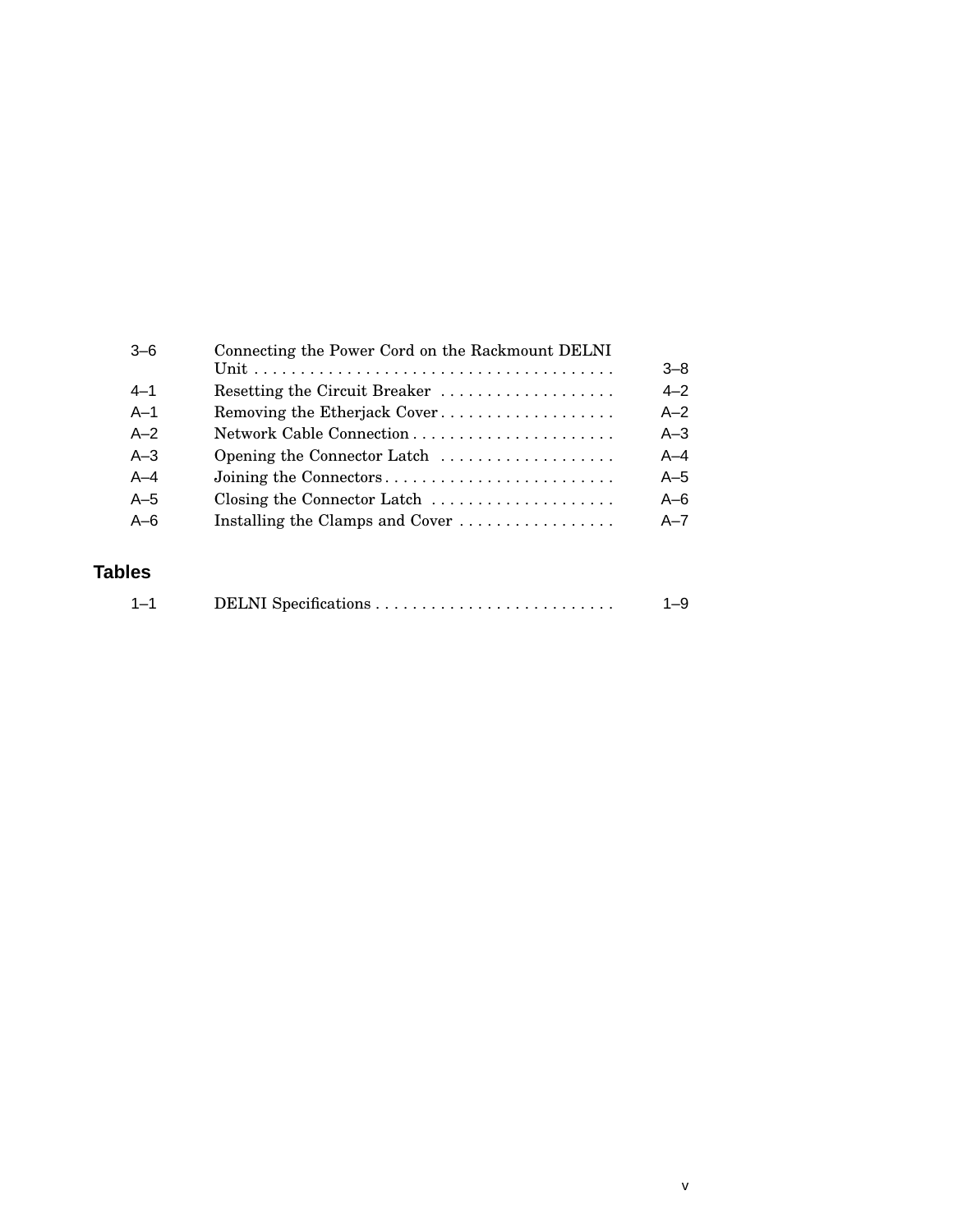| $-6$    | Connecting the Power Cord on the Rackmount DELNI                |         |
|---------|-----------------------------------------------------------------|---------|
|         |                                                                 | $3 - 8$ |
| $4 - 1$ | Resetting the Circuit Breaker                                   | $4 - 2$ |
| $A-1$   | Removing the Etherjack Cover                                    | $A - 2$ |
| $A-2$   |                                                                 | $A - 3$ |
| $A - 3$ | Opening the Connector Latch                                     | $A - 4$ |
| $A-4$   | Joining the Connectors                                          | $A-5$   |
| $A-5$   | Closing the Connector Latch                                     | $A - 6$ |
| $A - 6$ | Installing the Clamps and Cover $\dots \dots \dots \dots \dots$ | $A - 7$ |
|         |                                                                 |         |

## **Tables**

| $1 - 1$ |  | $1 - 9$ |
|---------|--|---------|
|---------|--|---------|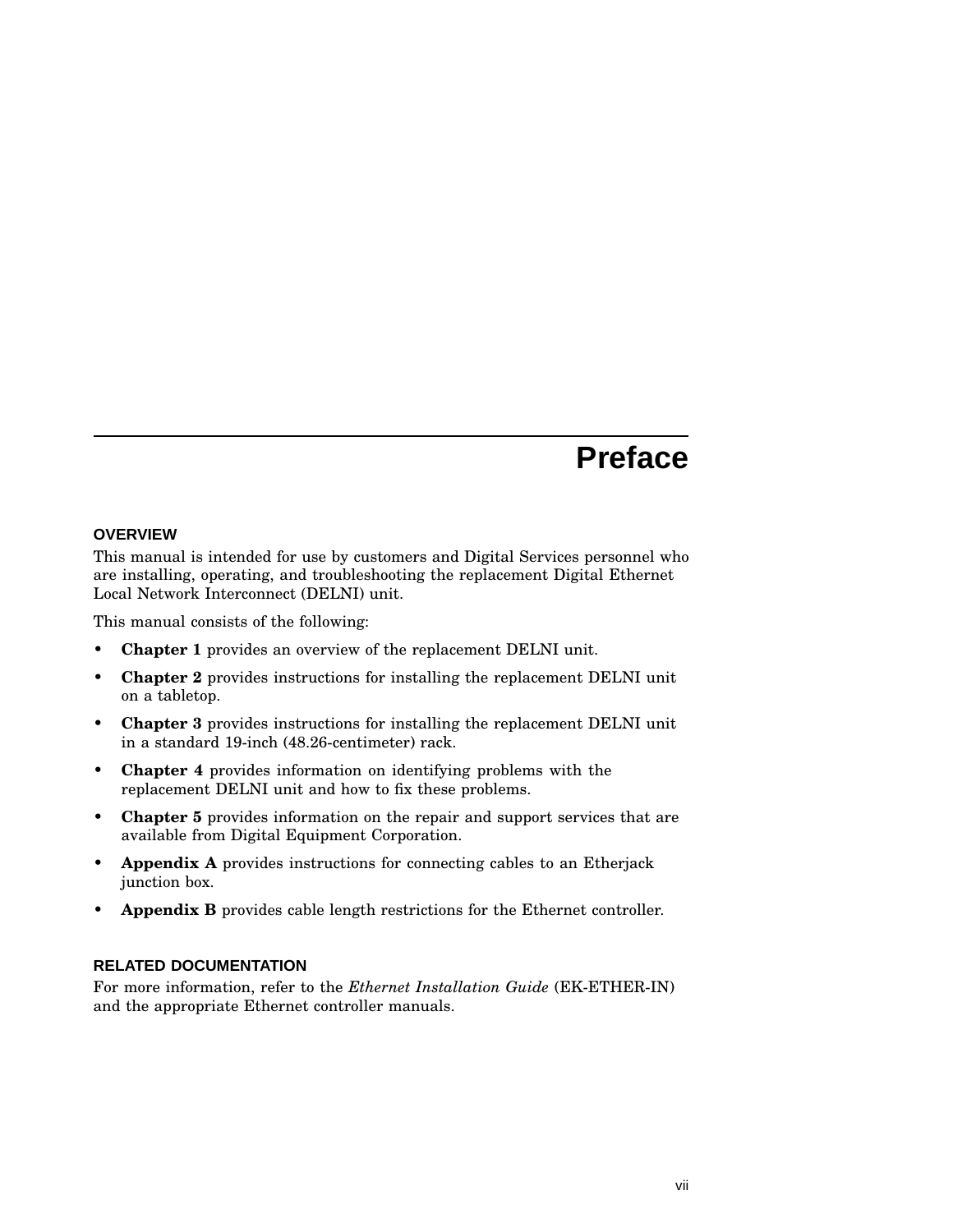## **Preface**

#### **OVERVIEW**

This manual is intended for use by customers and Digital Services personnel who are installing, operating, and troubleshooting the replacement Digital Ethernet Local Network Interconnect (DELNI) unit.

This manual consists of the following:

- **Chapter 1** provides an overview of the replacement DELNI unit.
- **Chapter 2** provides instructions for installing the replacement DELNI unit on a tabletop.
- **Chapter 3** provides instructions for installing the replacement DELNI unit in a standard 19-inch (48.26-centimeter) rack.
- **Chapter 4** provides information on identifying problems with the replacement DELNI unit and how to fix these problems.
- **Chapter 5** provides information on the repair and support services that are available from Digital Equipment Corporation.
- **Appendix A** provides instructions for connecting cables to an Etherjack junction box.
- **Appendix B** provides cable length restrictions for the Ethernet controller.

#### **RELATED DOCUMENTATION**

For more information, refer to the *Ethernet Installation Guide* (EK-ETHER-IN) and the appropriate Ethernet controller manuals.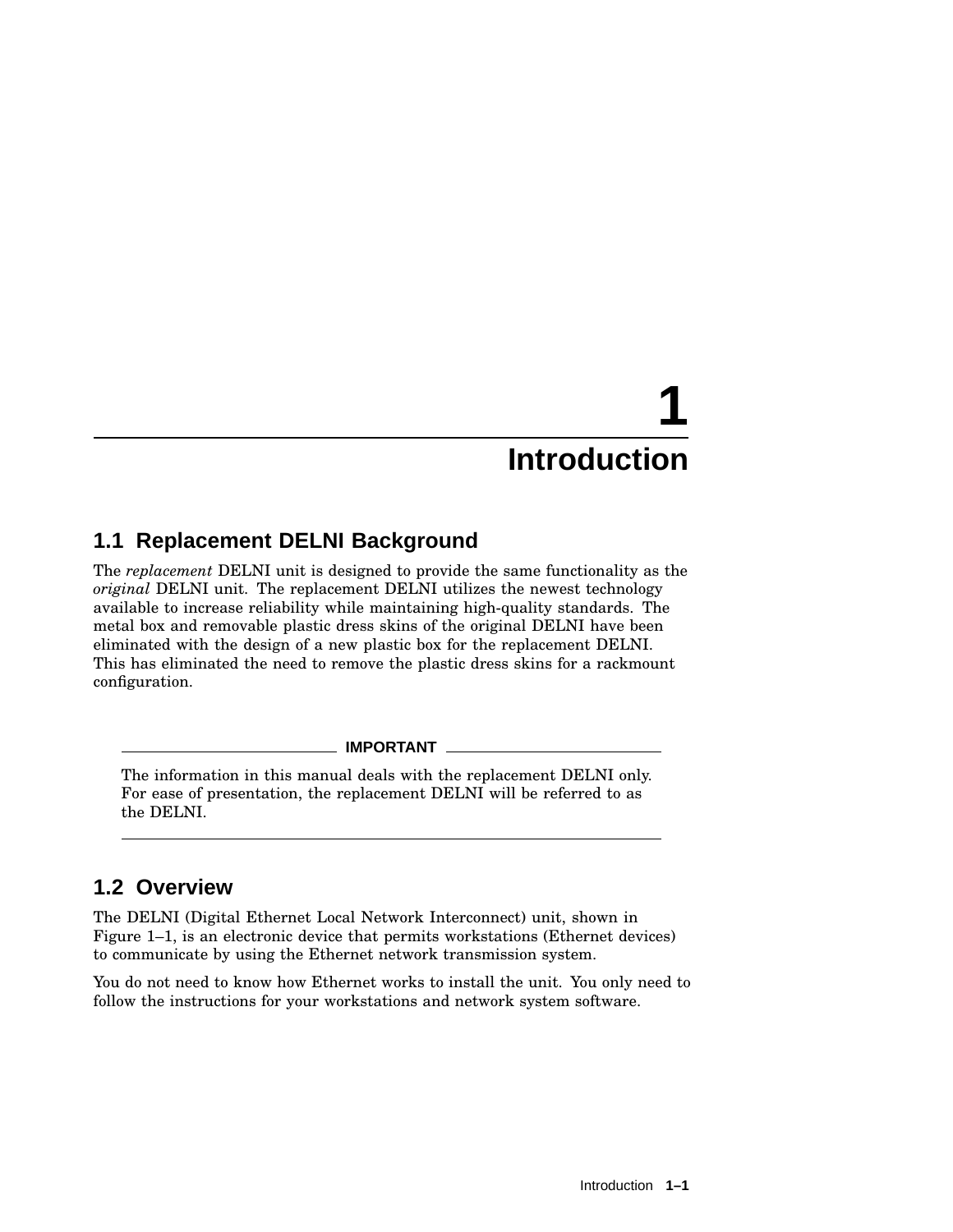## **1.1 Replacement DELNI Background**

The *replacement* DELNI unit is designed to provide the same functionality as the *original* DELNI unit. The replacement DELNI utilizes the newest technology available to increase reliability while maintaining high-quality standards. The metal box and removable plastic dress skins of the original DELNI have been eliminated with the design of a new plastic box for the replacement DELNI. This has eliminated the need to remove the plastic dress skins for a rackmount configuration.

**IMPORTANT**

The information in this manual deals with the replacement DELNI only. For ease of presentation, the replacement DELNI will be referred to as the DELNI.

## **1.2 Overview**

The DELNI (Digital Ethernet Local Network Interconnect) unit, shown in Figure 1–1, is an electronic device that permits workstations (Ethernet devices) to communicate by using the Ethernet network transmission system.

You do not need to know how Ethernet works to install the unit. You only need to follow the instructions for your workstations and network system software.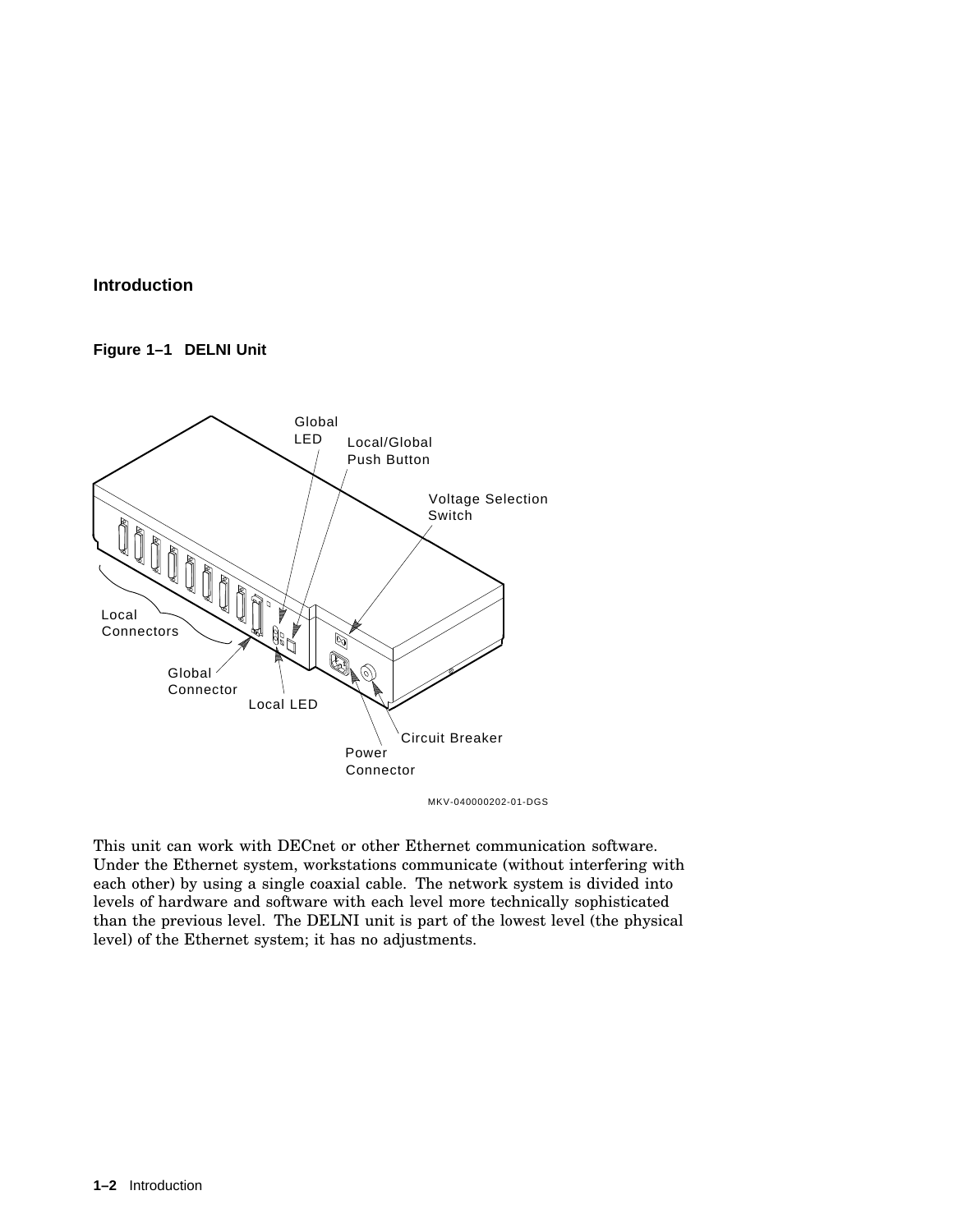#### **Figure 1–1 DELNI Unit**



MKV-040000202-01-DGS

This unit can work with DECnet or other Ethernet communication software. Under the Ethernet system, workstations communicate (without interfering with each other) by using a single coaxial cable. The network system is divided into levels of hardware and software with each level more technically sophisticated than the previous level. The DELNI unit is part of the lowest level (the physical level) of the Ethernet system; it has no adjustments.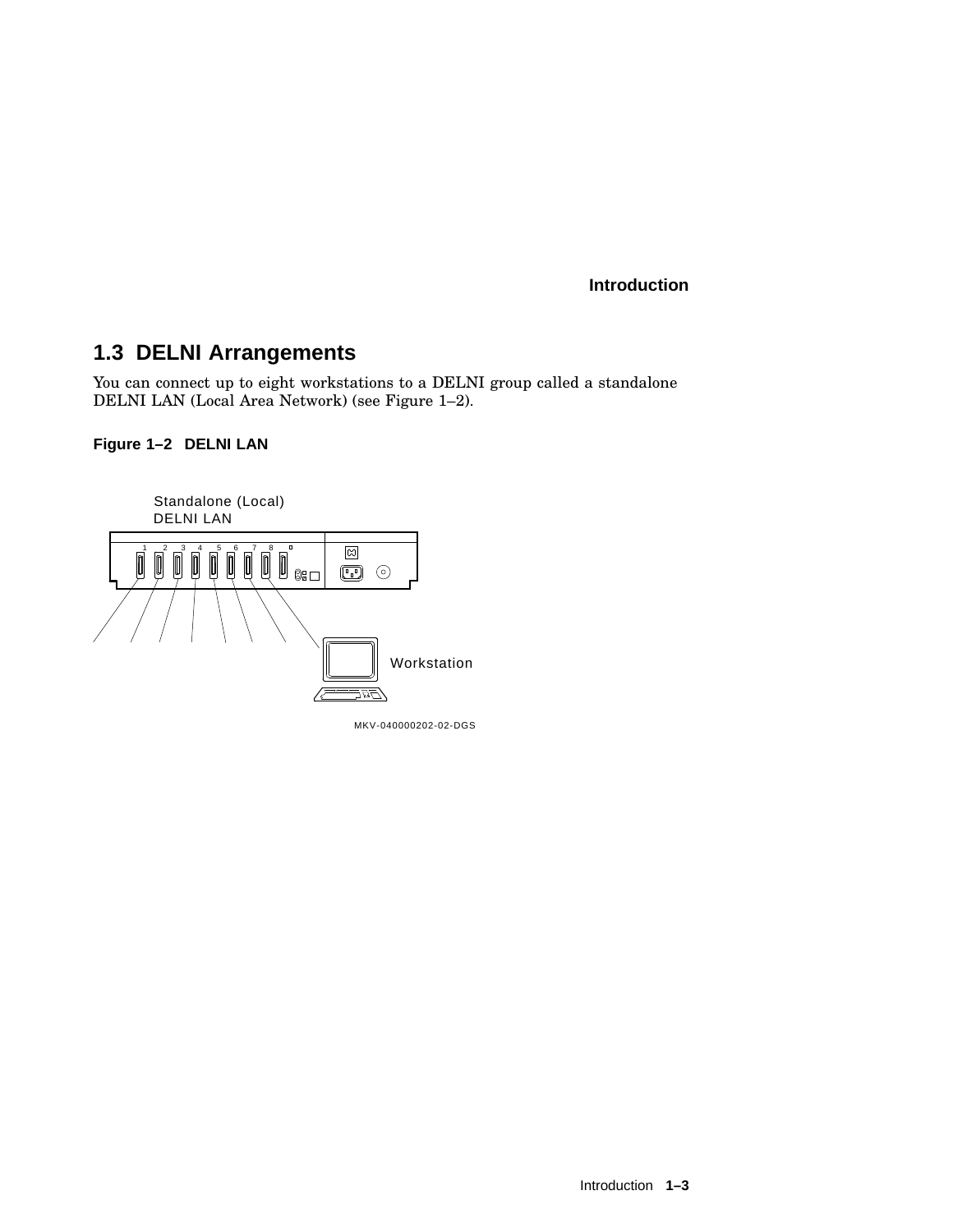## **1.3 DELNI Arrangements**

You can connect up to eight workstations to a DELNI group called a standalone DELNI LAN (Local Area Network) (see Figure 1–2).

#### **Figure 1–2 DELNI LAN**



Introduction **1–3**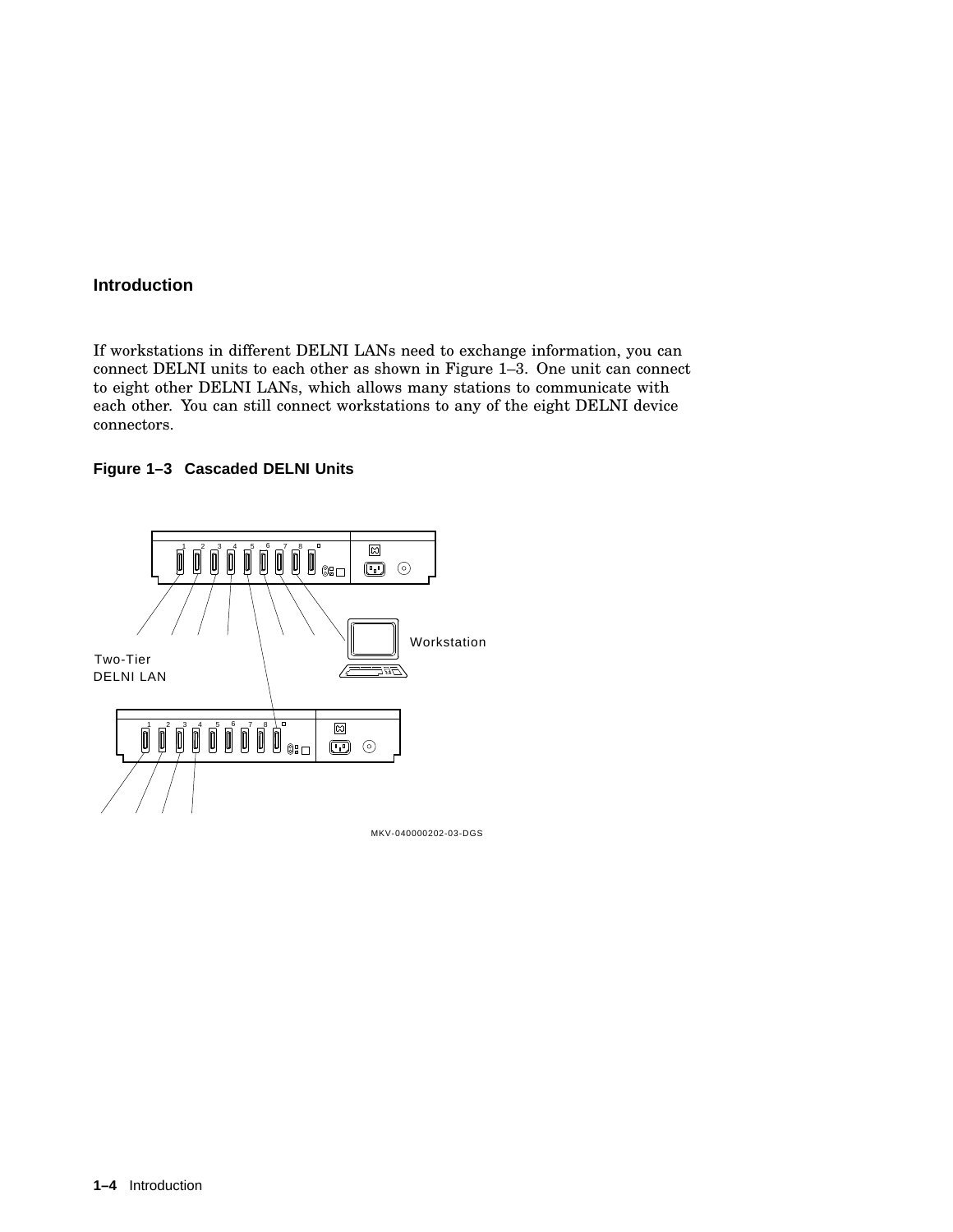If workstations in different DELNI LANs need to exchange information, you can connect DELNI units to each other as shown in Figure 1–3. One unit can connect to eight other DELNI LANs, which allows many stations to communicate with each other. You can still connect workstations to any of the eight DELNI device connectors.

#### **Figure 1–3 Cascaded DELNI Units**

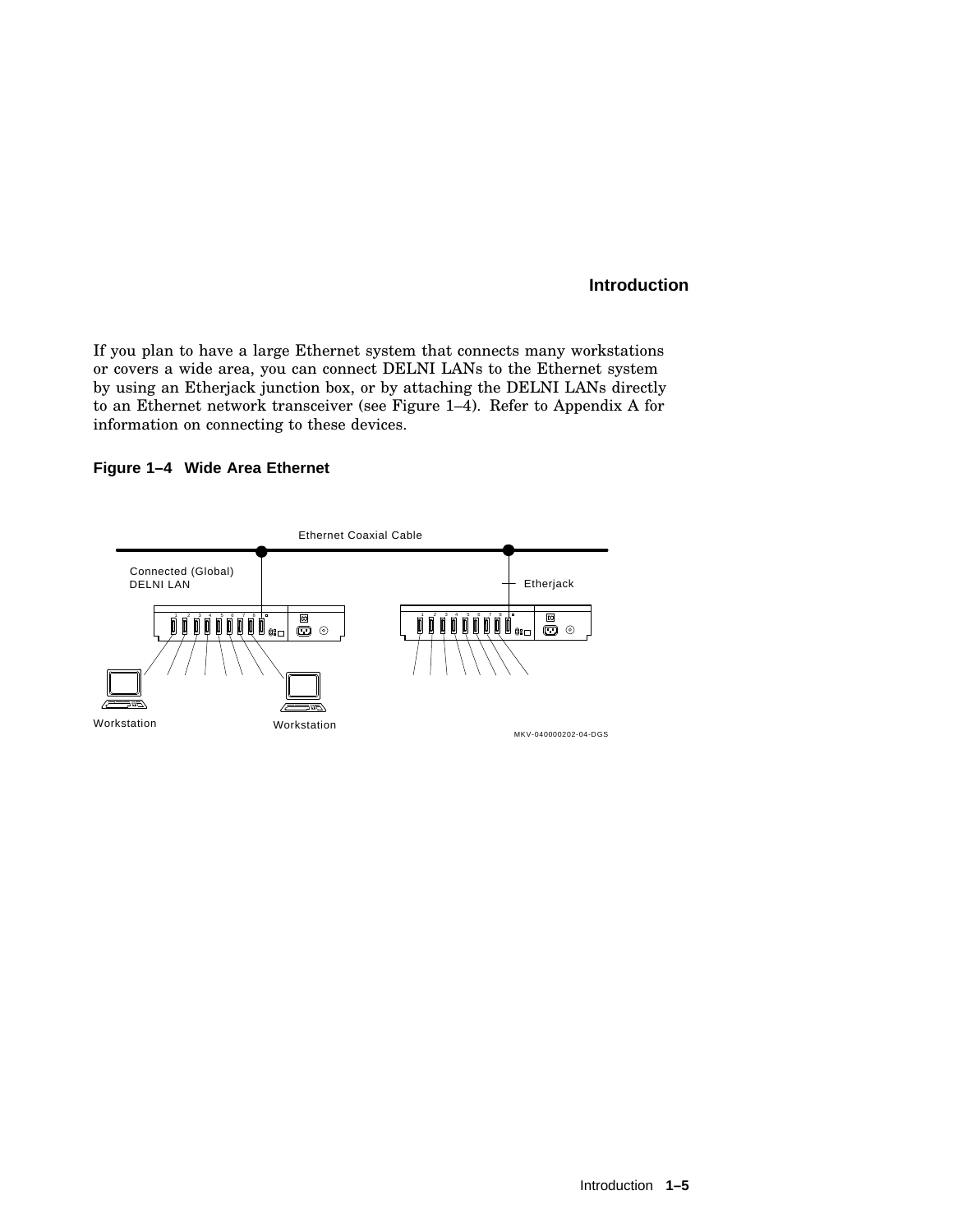If you plan to have a large Ethernet system that connects many workstations or covers a wide area, you can connect DELNI LANs to the Ethernet system by using an Etherjack junction box, or by attaching the DELNI LANs directly to an Ethernet network transceiver (see Figure 1–4). Refer to Appendix A for information on connecting to these devices.

#### **Figure 1–4 Wide Area Ethernet**

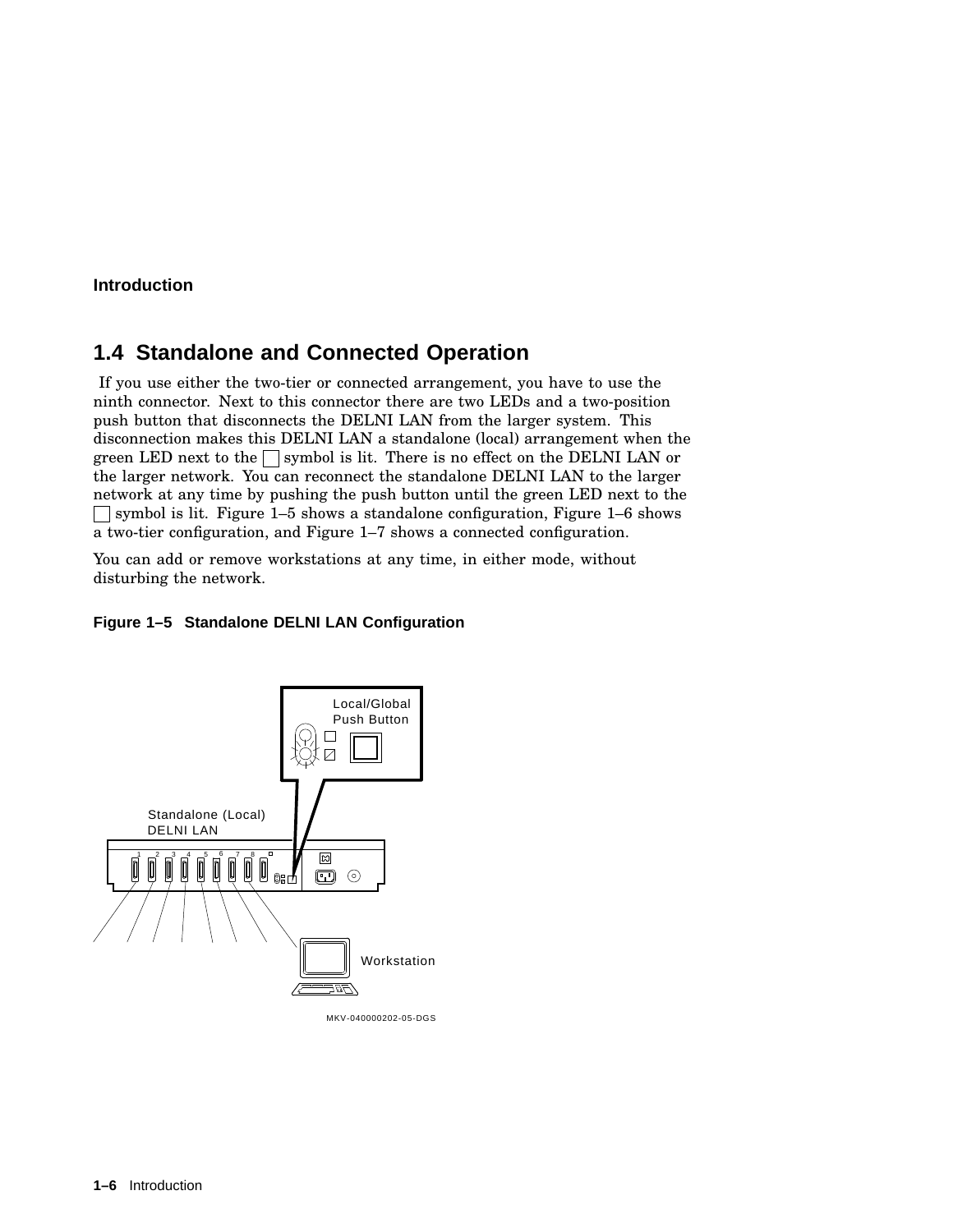## **1.4 Standalone and Connected Operation**

If you use either the two-tier or connected arrangement, you have to use the ninth connector. Next to this connector there are two LEDs and a two-position push button that disconnects the DELNI LAN from the larger system. This disconnection makes this DELNI LAN a standalone (local) arrangement when the green LED next to the  $\Box$  symbol is lit. There is no effect on the DELNI LAN or the larger network. You can reconnect the standalone DELNI LAN to the larger network at any time by pushing the push button until the green LED next to the symbol is lit. Figure 1–5 shows a standalone configuration, Figure 1–6 shows a two-tier configuration, and Figure 1–7 shows a connected configuration.

You can add or remove workstations at any time, in either mode, without disturbing the network.

#### **Figure 1–5 Standalone DELNI LAN Configuration**



MKV-040000202-05-DGS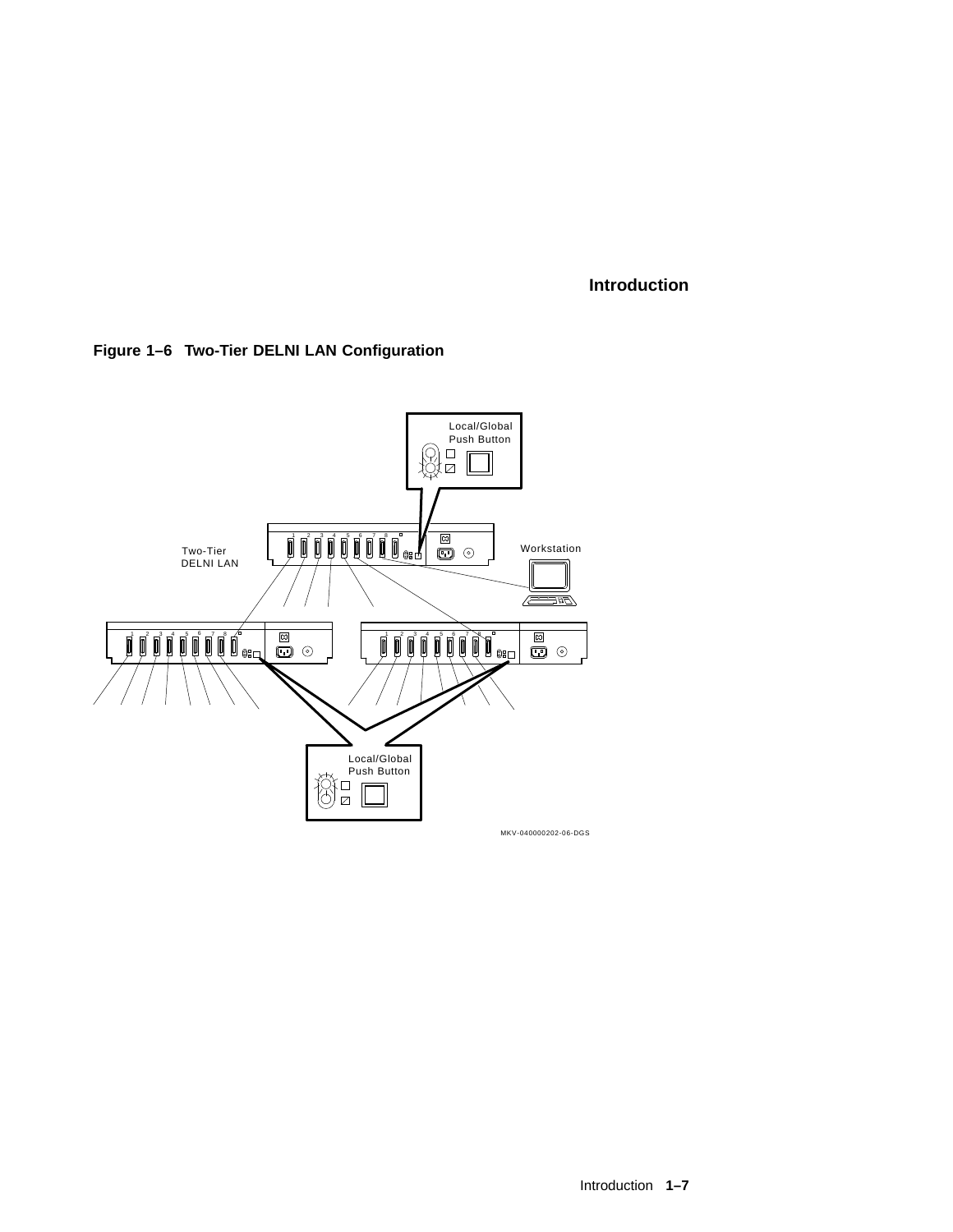

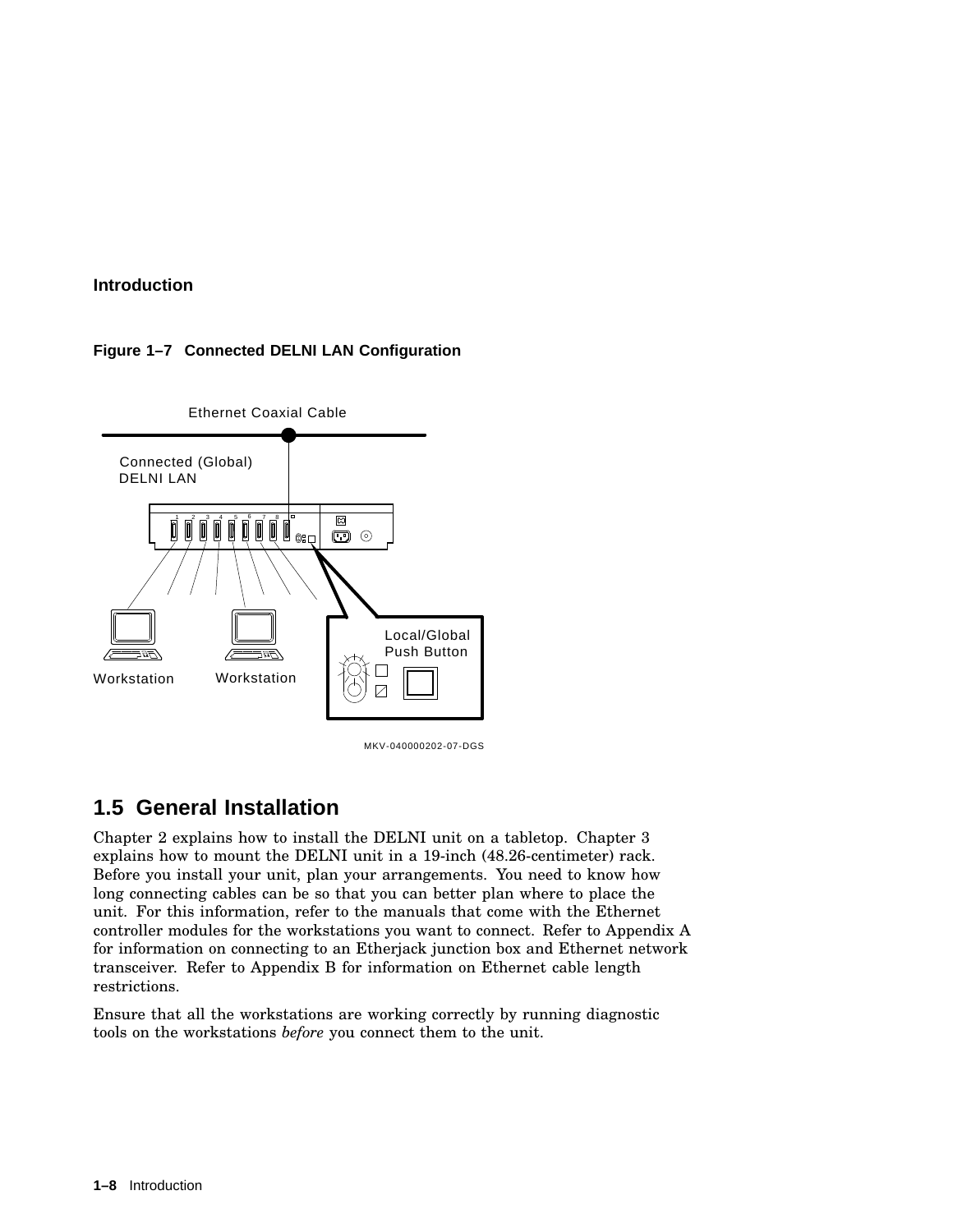#### **Figure 1–7 Connected DELNI LAN Configuration**



MKV-040000202-07-DGS

## **1.5 General Installation**

Chapter 2 explains how to install the DELNI unit on a tabletop. Chapter 3 explains how to mount the DELNI unit in a 19-inch (48.26-centimeter) rack. Before you install your unit, plan your arrangements. You need to know how long connecting cables can be so that you can better plan where to place the unit. For this information, refer to the manuals that come with the Ethernet controller modules for the workstations you want to connect. Refer to Appendix A for information on connecting to an Etherjack junction box and Ethernet network transceiver. Refer to Appendix B for information on Ethernet cable length restrictions.

Ensure that all the workstations are working correctly by running diagnostic tools on the workstations *before* you connect them to the unit.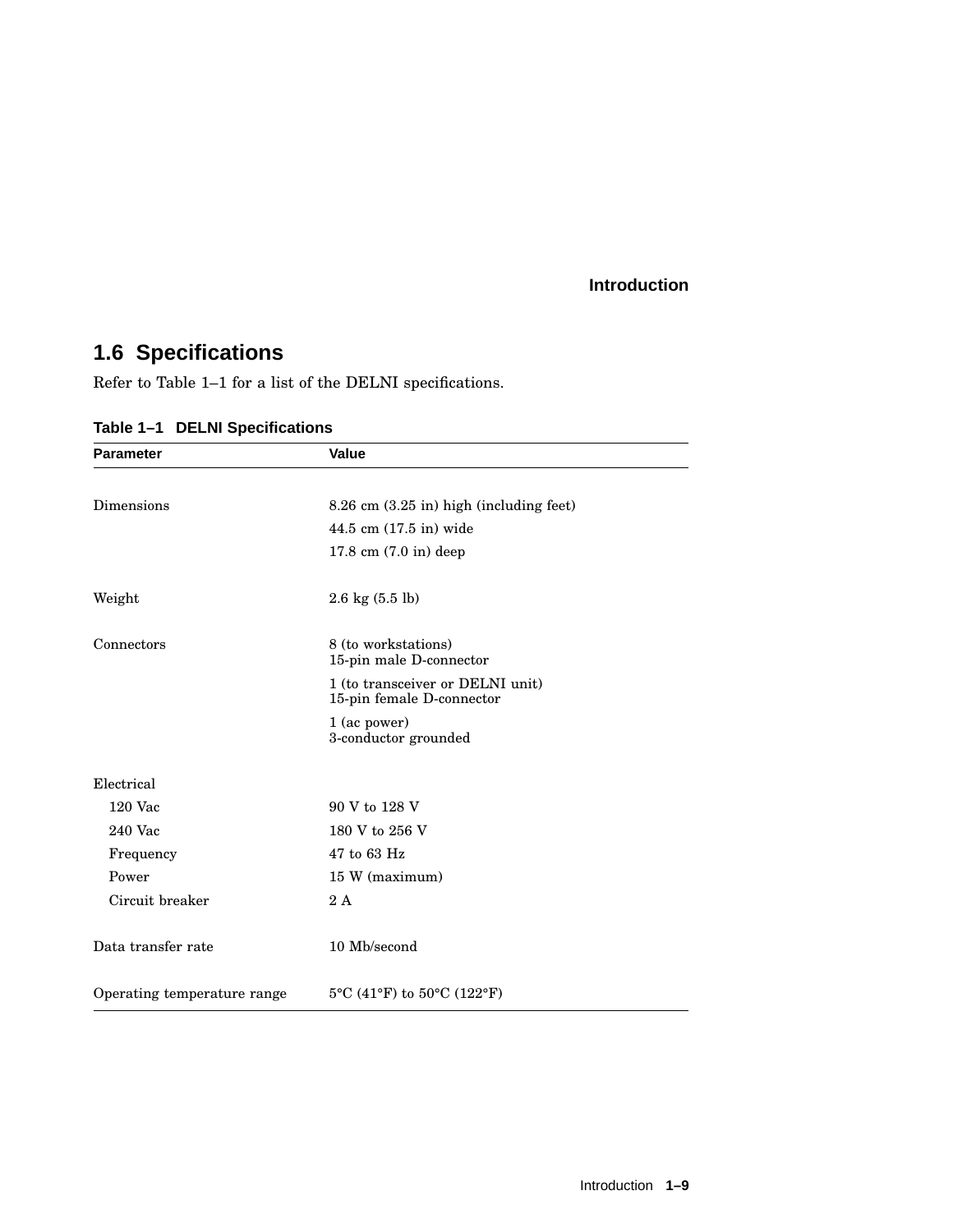## **1.6 Specifications**

Refer to Table 1–1 for a list of the DELNI specifications.

| <b>Parameter</b>            | <b>Value</b>                                                  |
|-----------------------------|---------------------------------------------------------------|
|                             |                                                               |
| Dimensions                  | $8.26$ cm $(3.25$ in) high (including feet)                   |
|                             | 44.5 cm (17.5 in) wide                                        |
|                             | $17.8 \text{ cm } (7.0 \text{ in}) \text{ deep}$              |
| Weight                      | $2.6 \text{ kg} (5.5 \text{ lb})$                             |
| Connectors                  | 8 (to workstations)<br>15-pin male D-connector                |
|                             | 1 (to transceiver or DELNI unit)<br>15-pin female D-connector |
|                             | 1 (ac power)<br>3-conductor grounded                          |
| Electrical                  |                                                               |
| $120$ Vac                   | 90 V to 128 V                                                 |
| 240 Vac                     | 180 V to 256 V                                                |
| Frequency                   | 47 to 63 Hz                                                   |
| Power                       | 15 W (maximum)                                                |
| Circuit breaker             | 2A                                                            |
| Data transfer rate          | 10 Mb/second                                                  |
| Operating temperature range | 5°C (41°F) to 50°C (122°F)                                    |

**Table 1–1 DELNI Specifications**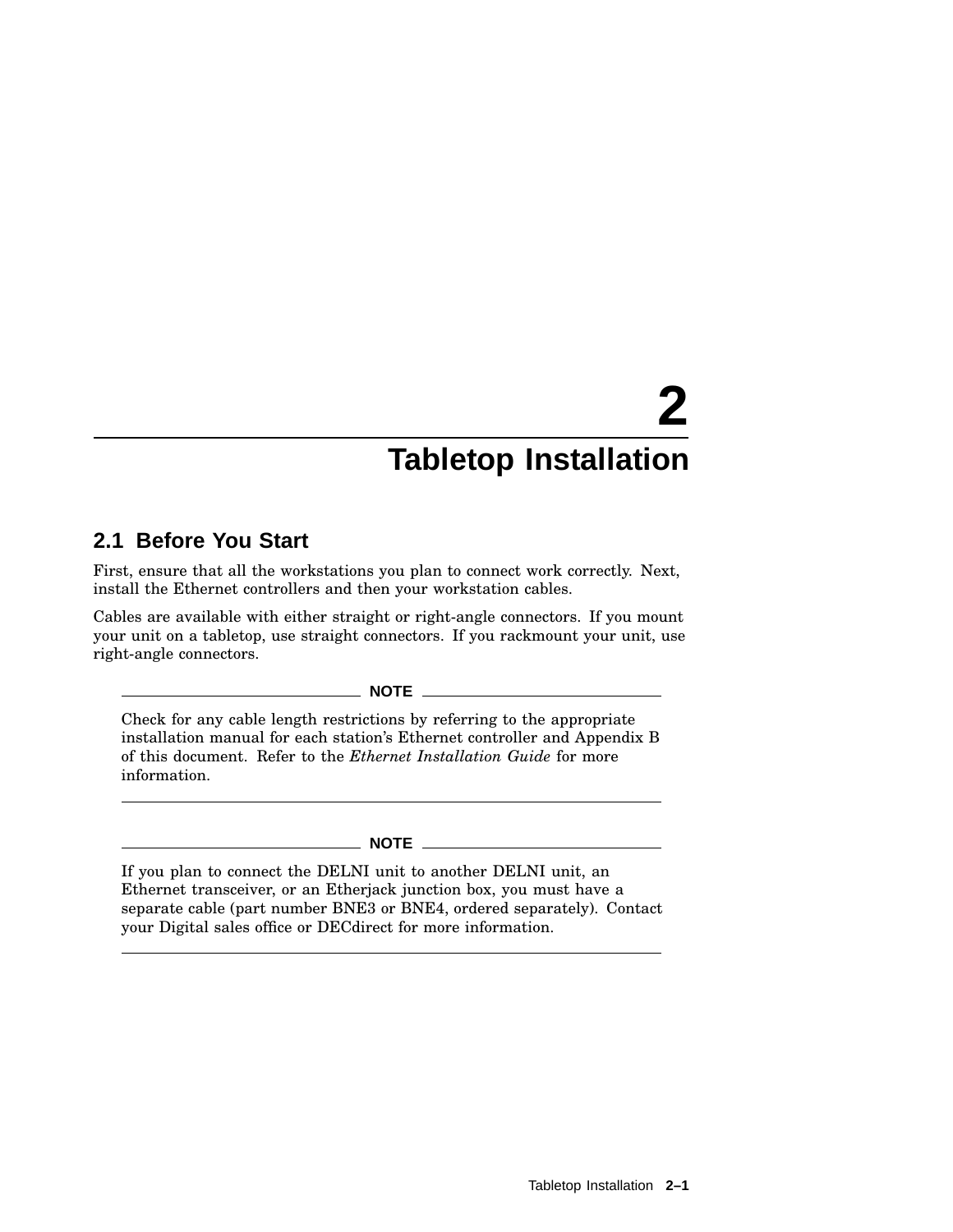## **2.1 Before You Start**

First, ensure that all the workstations you plan to connect work correctly. Next, install the Ethernet controllers and then your workstation cables.

Cables are available with either straight or right-angle connectors. If you mount your unit on a tabletop, use straight connectors. If you rackmount your unit, use right-angle connectors.

**NOTE**

Check for any cable length restrictions by referring to the appropriate installation manual for each station's Ethernet controller and Appendix B of this document. Refer to the *Ethernet Installation Guide* for more information.

#### **NOTE**

If you plan to connect the DELNI unit to another DELNI unit, an Ethernet transceiver, or an Etherjack junction box, you must have a separate cable (part number BNE3 or BNE4, ordered separately). Contact your Digital sales office or DECdirect for more information.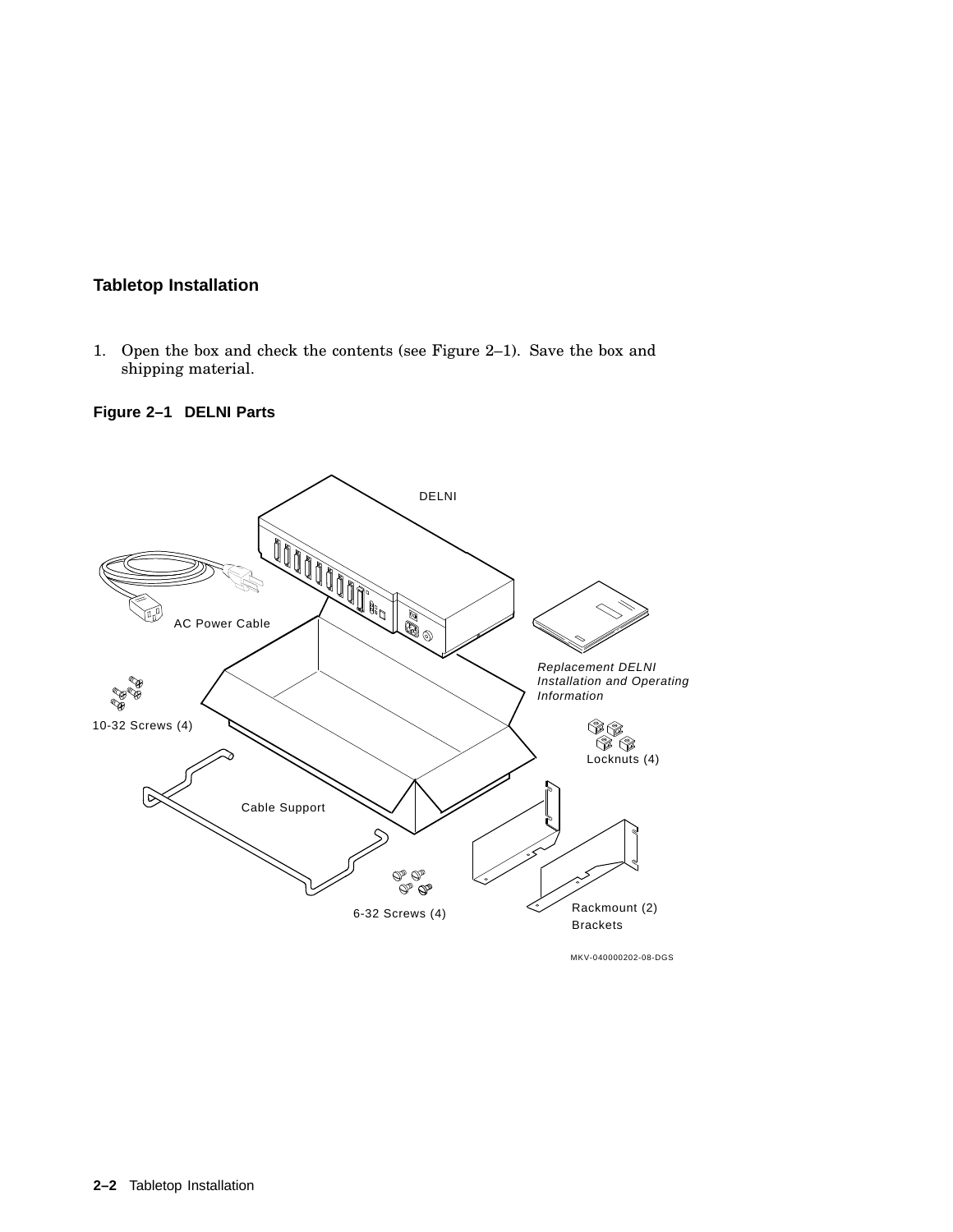1. Open the box and check the contents (see Figure 2–1). Save the box and shipping material.

**Figure 2–1 DELNI Parts**



MKV-040000202-08-DGS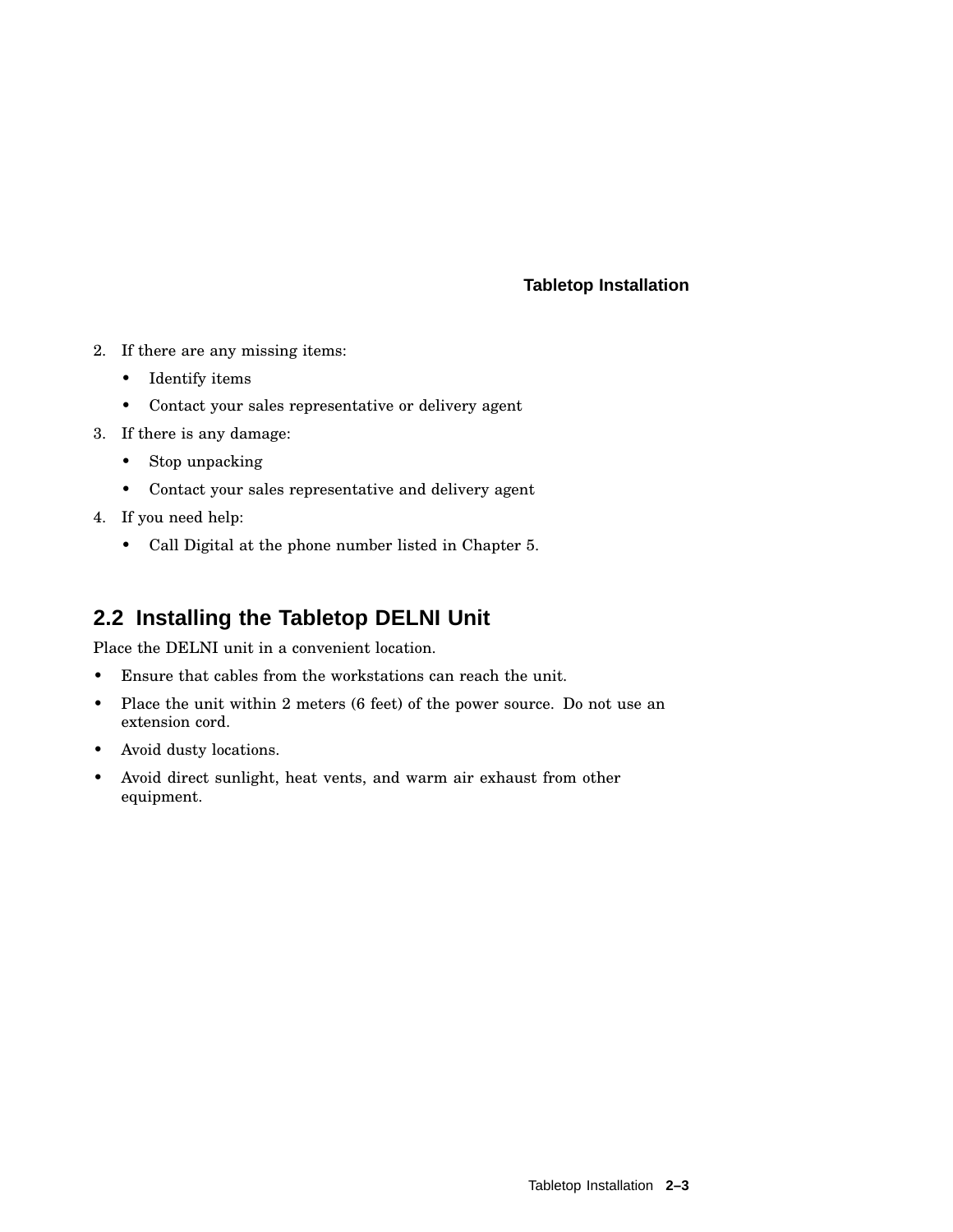- 2. If there are any missing items:
	- Identify items
	- Contact your sales representative or delivery agent
- 3. If there is any damage:
	- Stop unpacking
	- Contact your sales representative and delivery agent
- 4. If you need help:
	- Call Digital at the phone number listed in Chapter 5.

## **2.2 Installing the Tabletop DELNI Unit**

Place the DELNI unit in a convenient location.

- Ensure that cables from the workstations can reach the unit.
- Place the unit within 2 meters (6 feet) of the power source. Do not use an extension cord.
- Avoid dusty locations.
- Avoid direct sunlight, heat vents, and warm air exhaust from other equipment.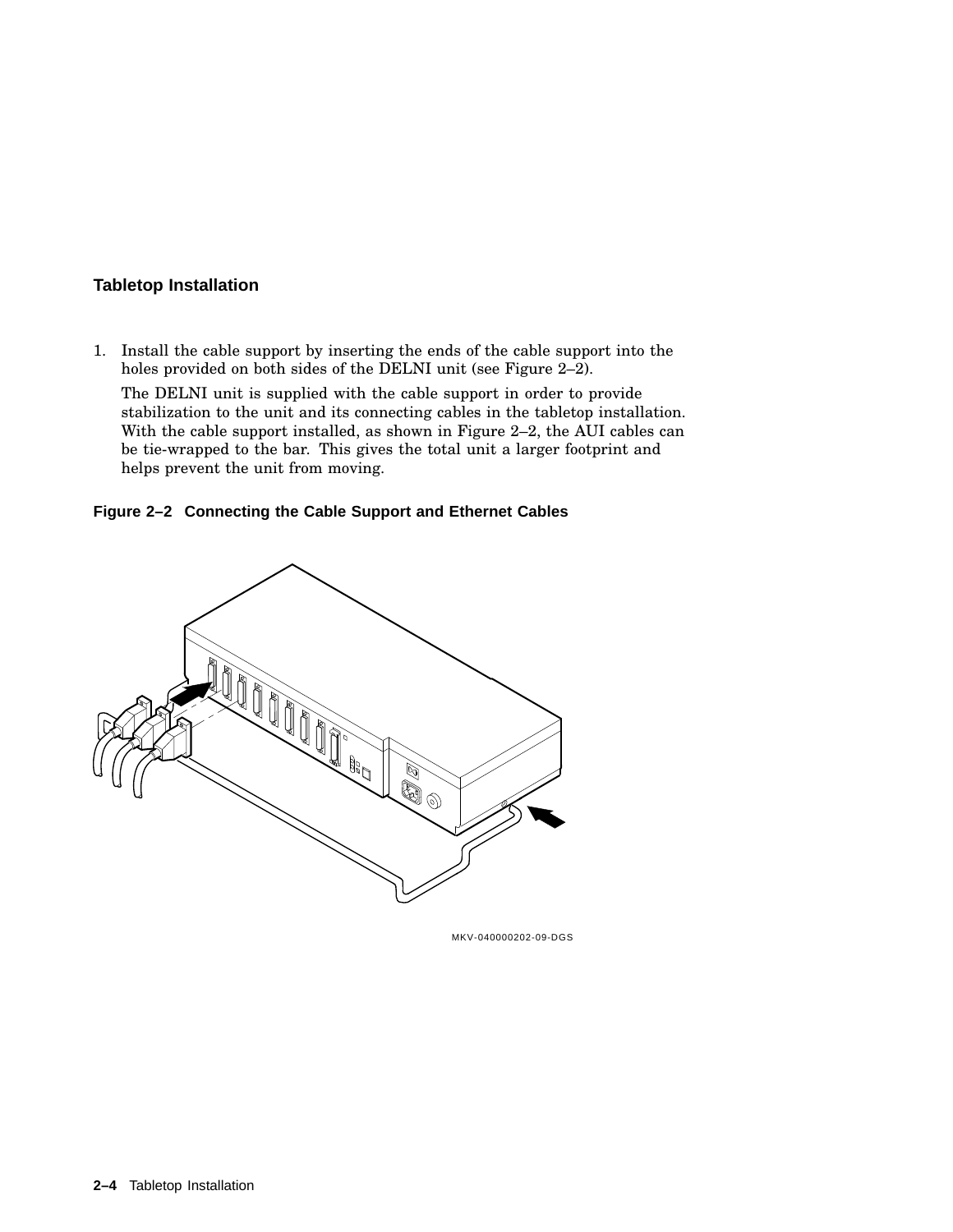1. Install the cable support by inserting the ends of the cable support into the holes provided on both sides of the DELNI unit (see Figure 2–2).

The DELNI unit is supplied with the cable support in order to provide stabilization to the unit and its connecting cables in the tabletop installation. With the cable support installed, as shown in Figure 2–2, the AUI cables can be tie-wrapped to the bar. This gives the total unit a larger footprint and helps prevent the unit from moving.





MKV-040000202-09-DGS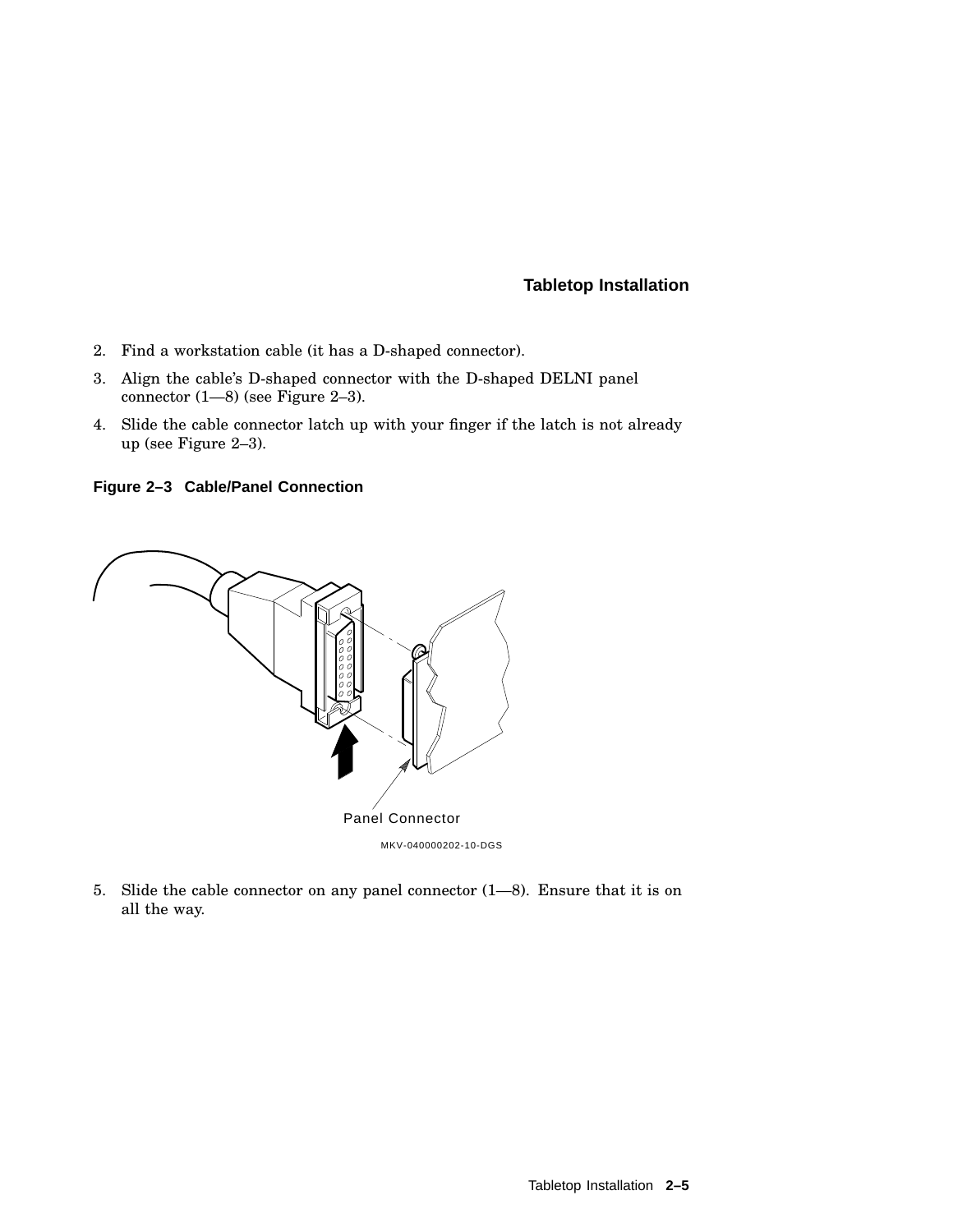- 2. Find a workstation cable (it has a D-shaped connector).
- 3. Align the cable's D-shaped connector with the D-shaped DELNI panel connector (1—8) (see Figure 2–3).
- 4. Slide the cable connector latch up with your finger if the latch is not already up (see Figure 2–3).

**Figure 2–3 Cable/Panel Connection**



5. Slide the cable connector on any panel connector (1—8). Ensure that it is on all the way.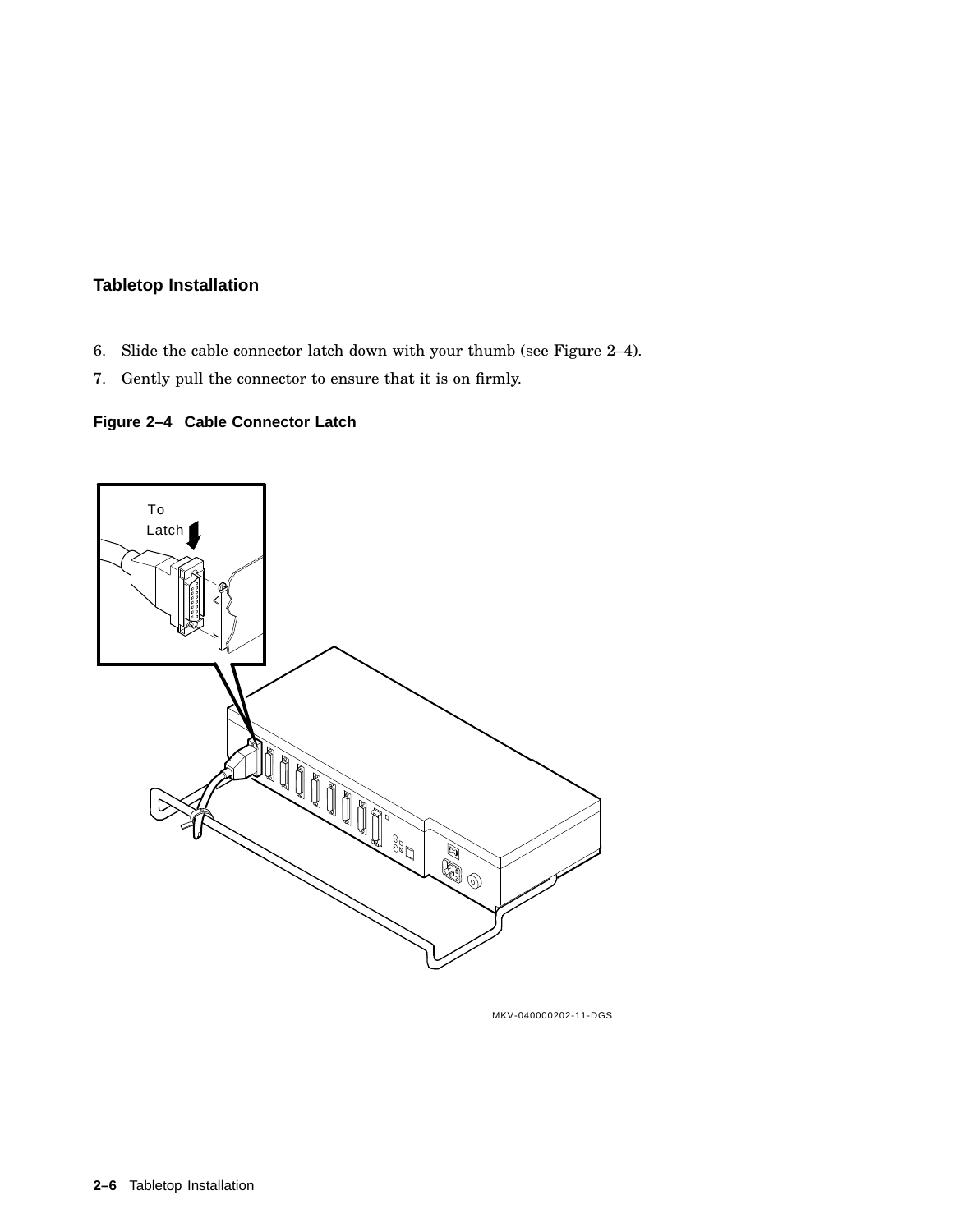- 6. Slide the cable connector latch down with your thumb (see Figure 2–4).
- 7. Gently pull the connector to ensure that it is on firmly.

## **Figure 2–4 Cable Connector Latch**



MKV-040000202-11-DGS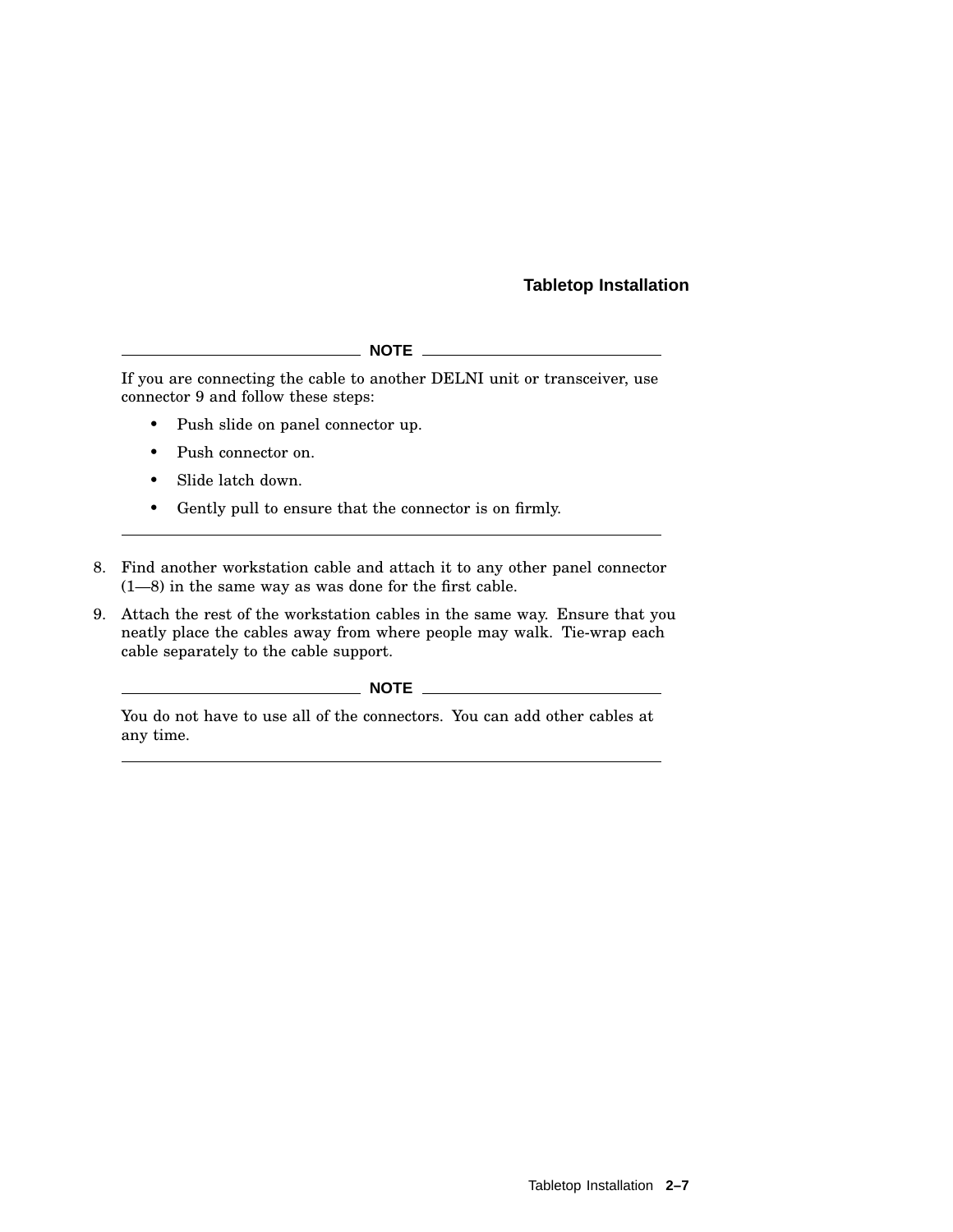#### **NOTE**

If you are connecting the cable to another DELNI unit or transceiver, use connector 9 and follow these steps:

- Push slide on panel connector up.
- Push connector on.
- Slide latch down.
- Gently pull to ensure that the connector is on firmly.
- 8. Find another workstation cable and attach it to any other panel connector (1—8) in the same way as was done for the first cable.
- 9. Attach the rest of the workstation cables in the same way. Ensure that you neatly place the cables away from where people may walk. Tie-wrap each cable separately to the cable support.

#### **NOTE**

You do not have to use all of the connectors. You can add other cables at any time.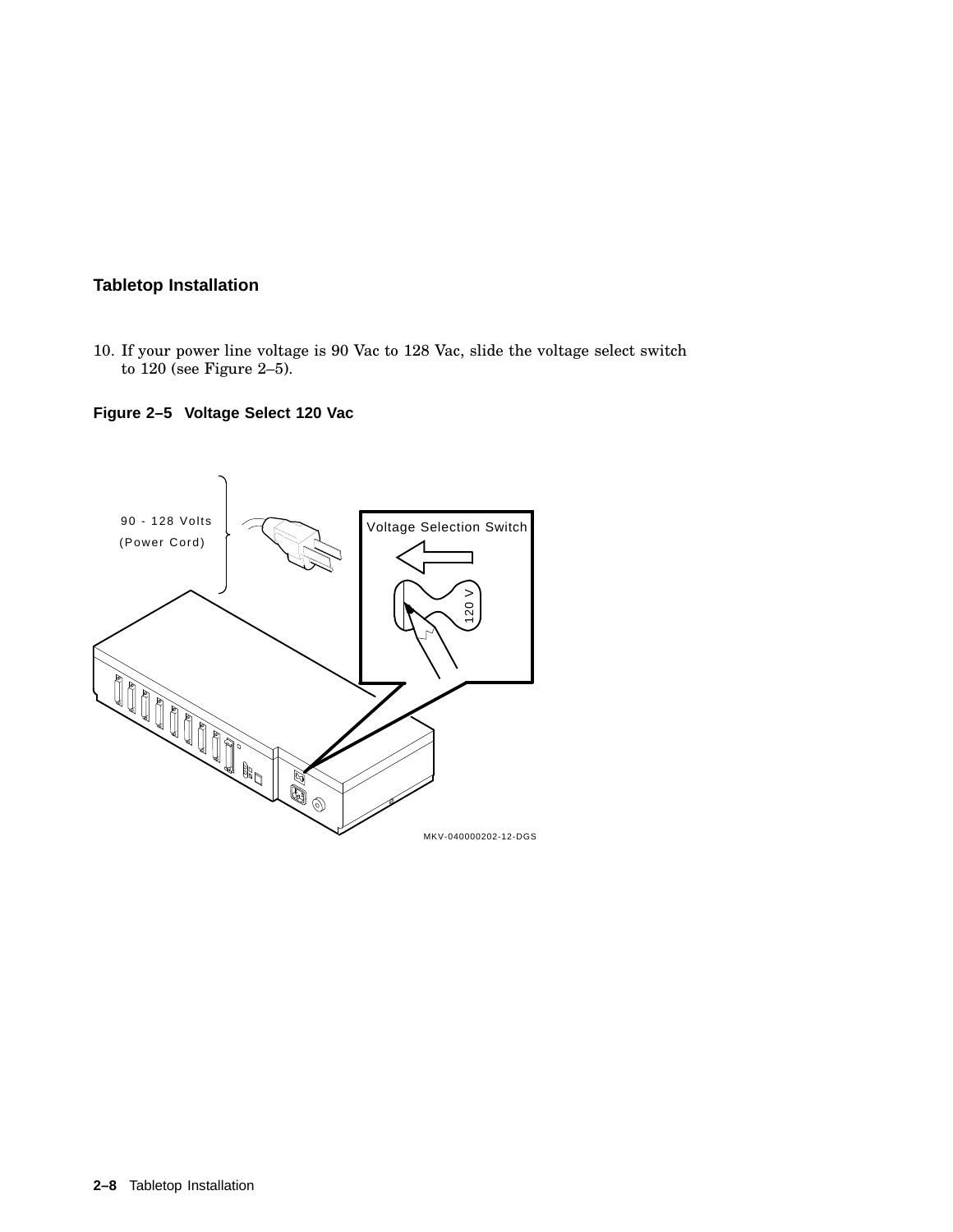10. If your power line voltage is 90 Vac to 128 Vac, slide the voltage select switch to 120 (see Figure 2–5).

## **Figure 2–5 Voltage Select 120 Vac**

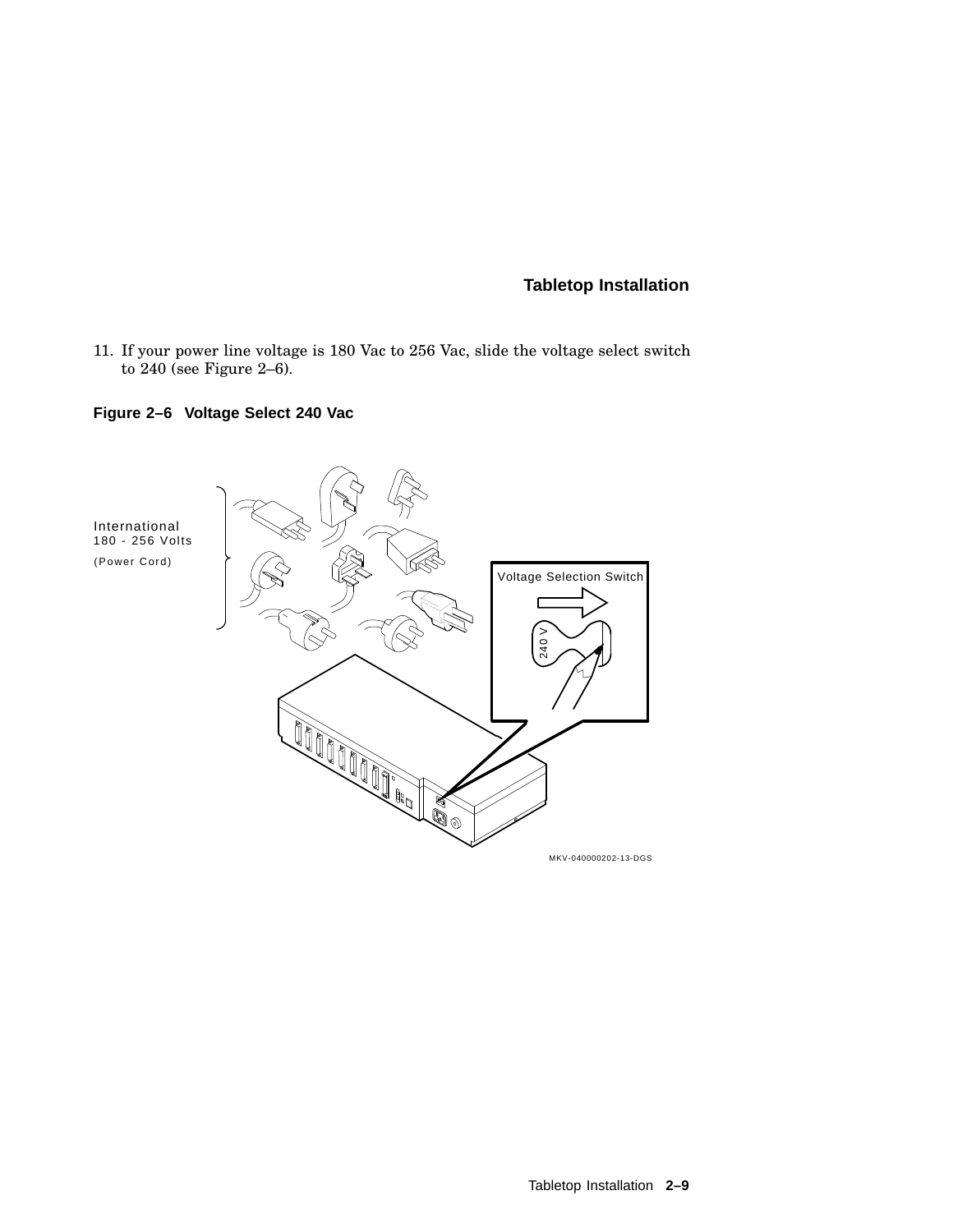11. If your power line voltage is 180 Vac to 256 Vac, slide the voltage select switch to 240 (see Figure 2–6).

## **Figure 2–6 Voltage Select 240 Vac**

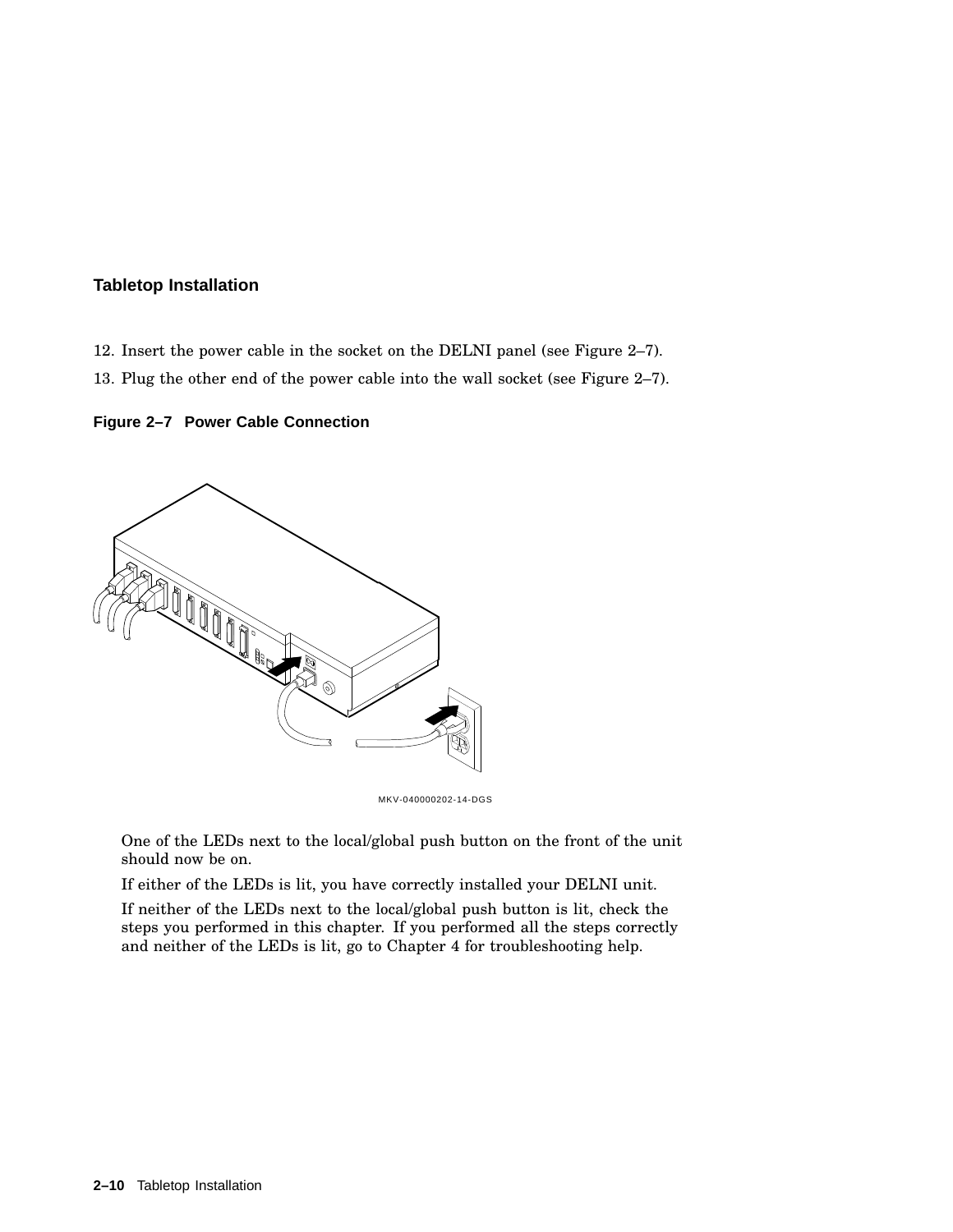- 12. Insert the power cable in the socket on the DELNI panel (see Figure 2–7).
- 13. Plug the other end of the power cable into the wall socket (see Figure 2–7).

#### **Figure 2–7 Power Cable Connection**



MKV-040000202-14-DGS

One of the LEDs next to the local/global push button on the front of the unit should now be on.

If either of the LEDs is lit, you have correctly installed your DELNI unit.

If neither of the LEDs next to the local/global push button is lit, check the steps you performed in this chapter. If you performed all the steps correctly and neither of the LEDs is lit, go to Chapter 4 for troubleshooting help.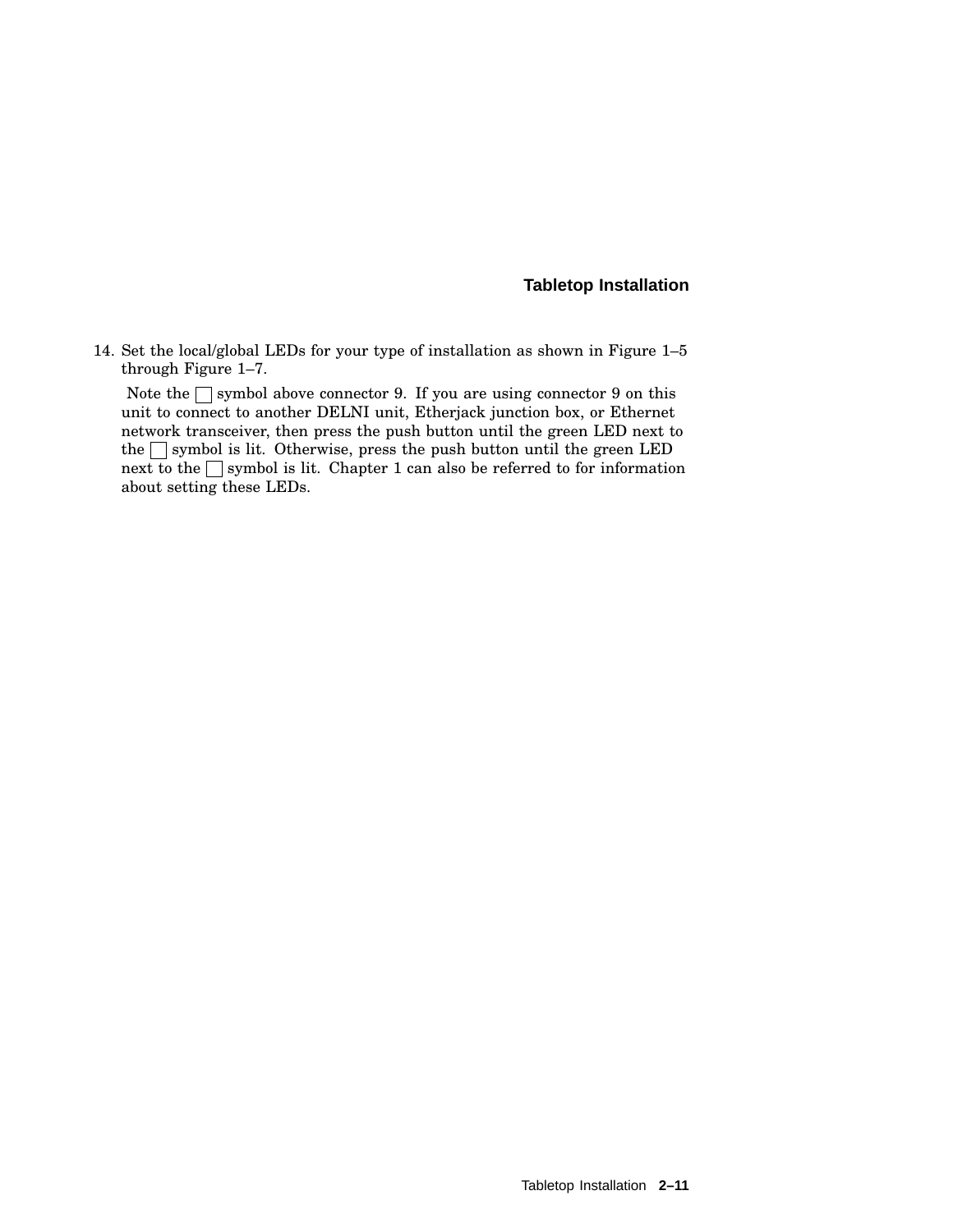14. Set the local/global LEDs for your type of installation as shown in Figure 1–5 through Figure 1–7.

Note the  $\Box$  symbol above connector 9. If you are using connector 9 on this unit to connect to another DELNI unit, Etherjack junction box, or Ethernet network transceiver, then press the push button until the green LED next to the  $\Box$  symbol is lit. Otherwise, press the push button until the green LED next to the  $\Box$  symbol is lit. Chapter 1 can also be referred to for information about setting these LEDs.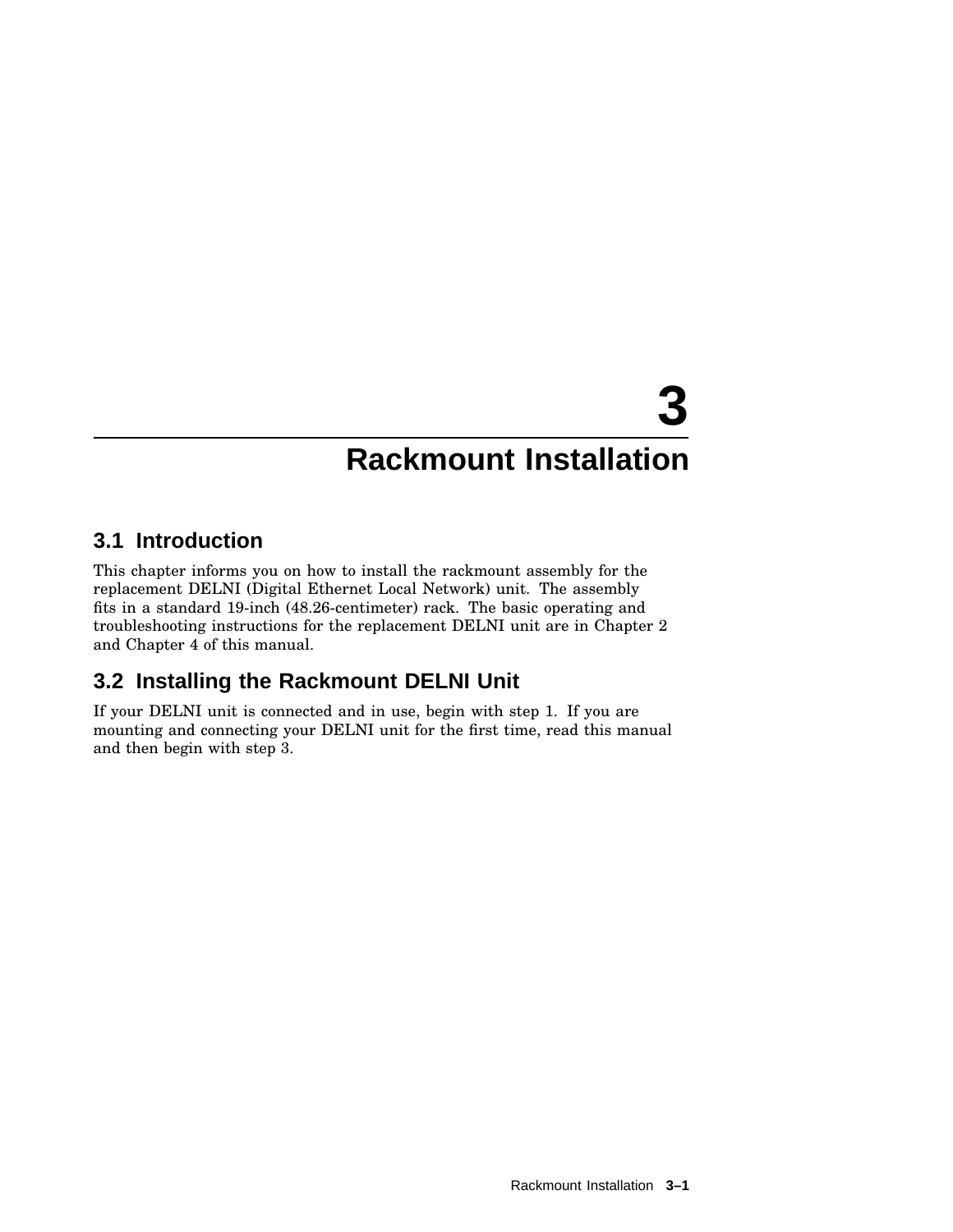## **3.1 Introduction**

This chapter informs you on how to install the rackmount assembly for the replacement DELNI (Digital Ethernet Local Network) unit. The assembly fits in a standard 19-inch (48.26-centimeter) rack. The basic operating and troubleshooting instructions for the replacement DELNI unit are in Chapter 2 and Chapter 4 of this manual.

## **3.2 Installing the Rackmount DELNI Unit**

If your DELNI unit is connected and in use, begin with step 1. If you are mounting and connecting your DELNI unit for the first time, read this manual and then begin with step 3.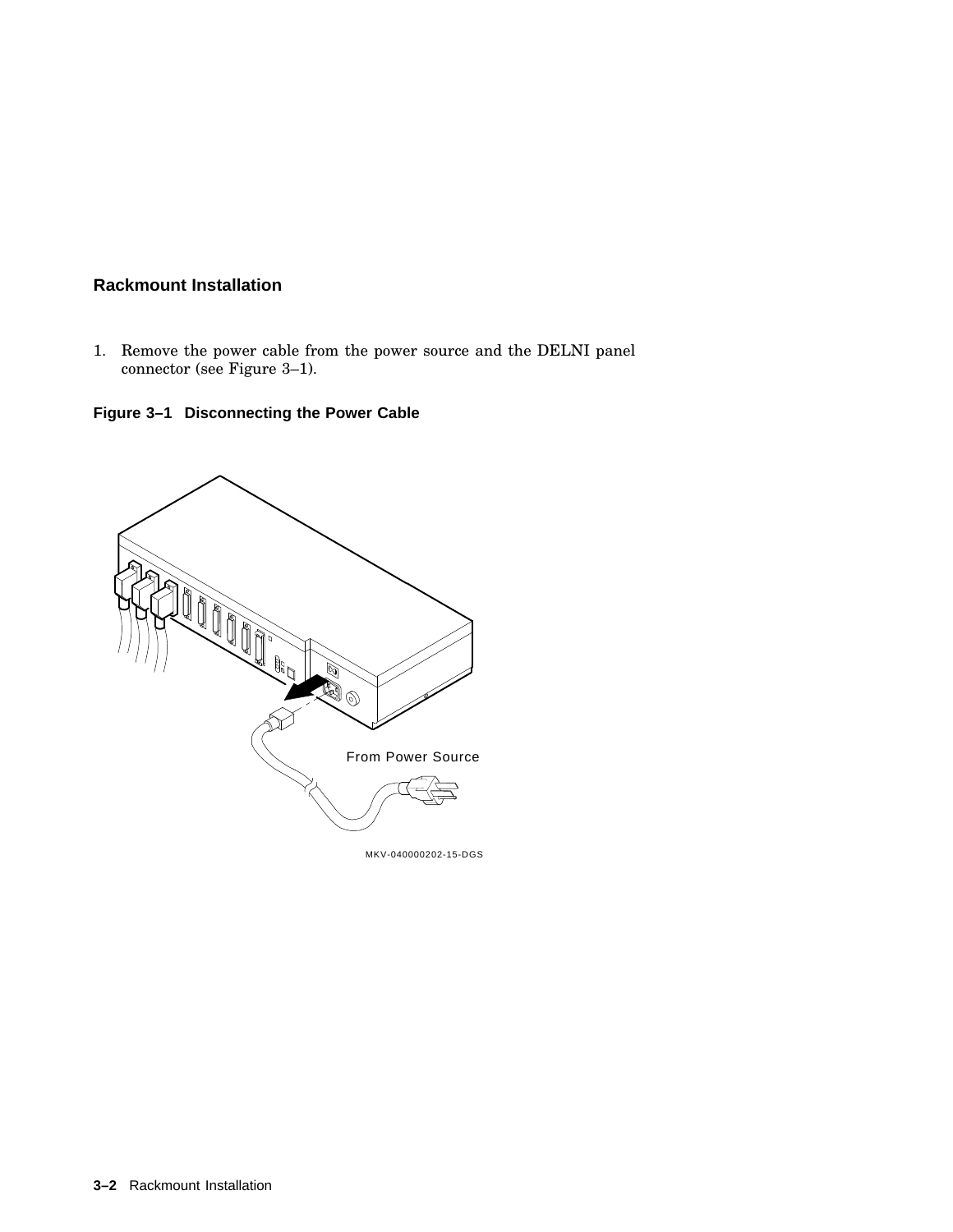1. Remove the power cable from the power source and the DELNI panel connector (see Figure 3–1).

**Figure 3–1 Disconnecting the Power Cable**



MKV-040000202-15-DGS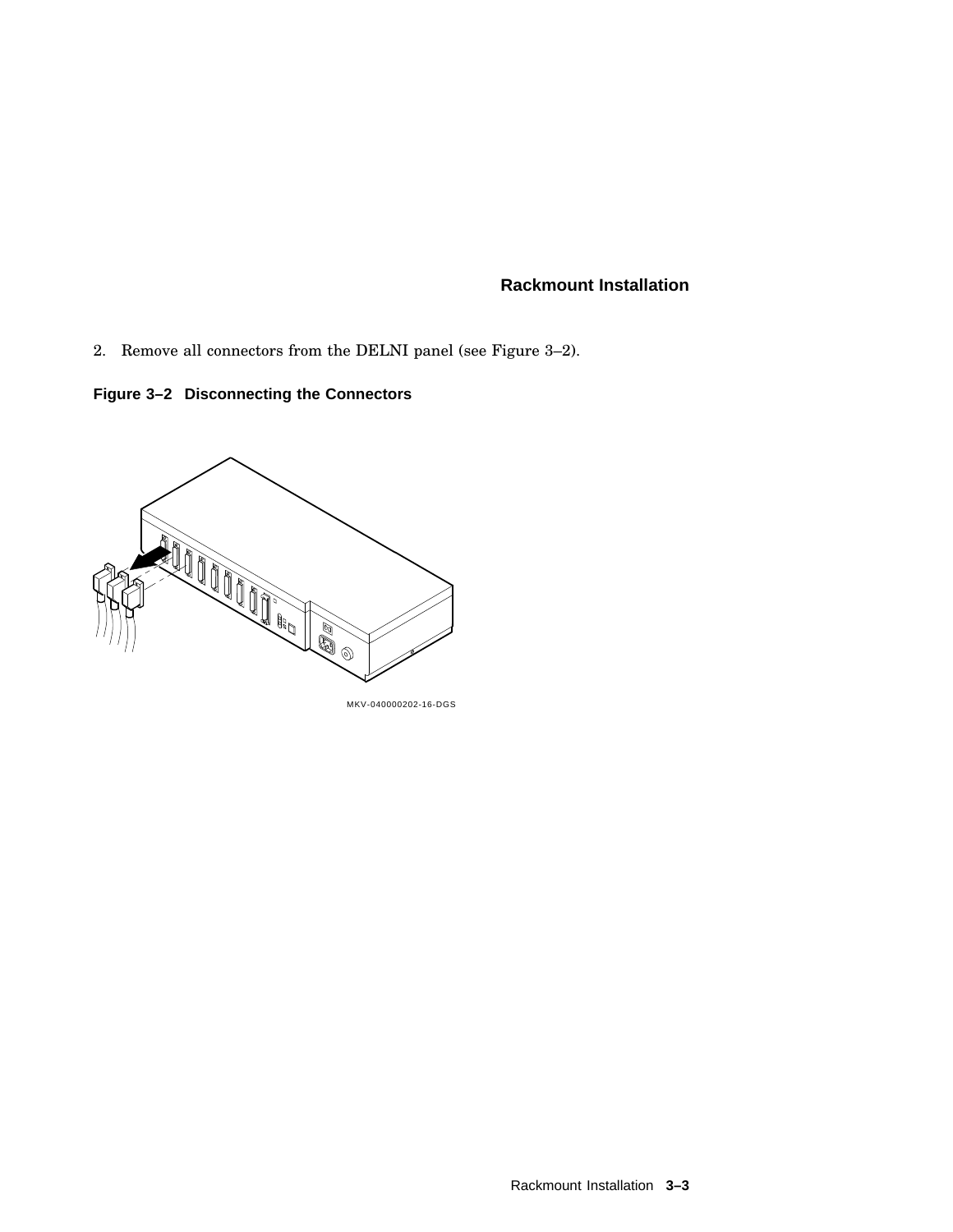2. Remove all connectors from the DELNI panel (see Figure 3–2).

**Figure 3–2 Disconnecting the Connectors**



MKV-040000202-16-DGS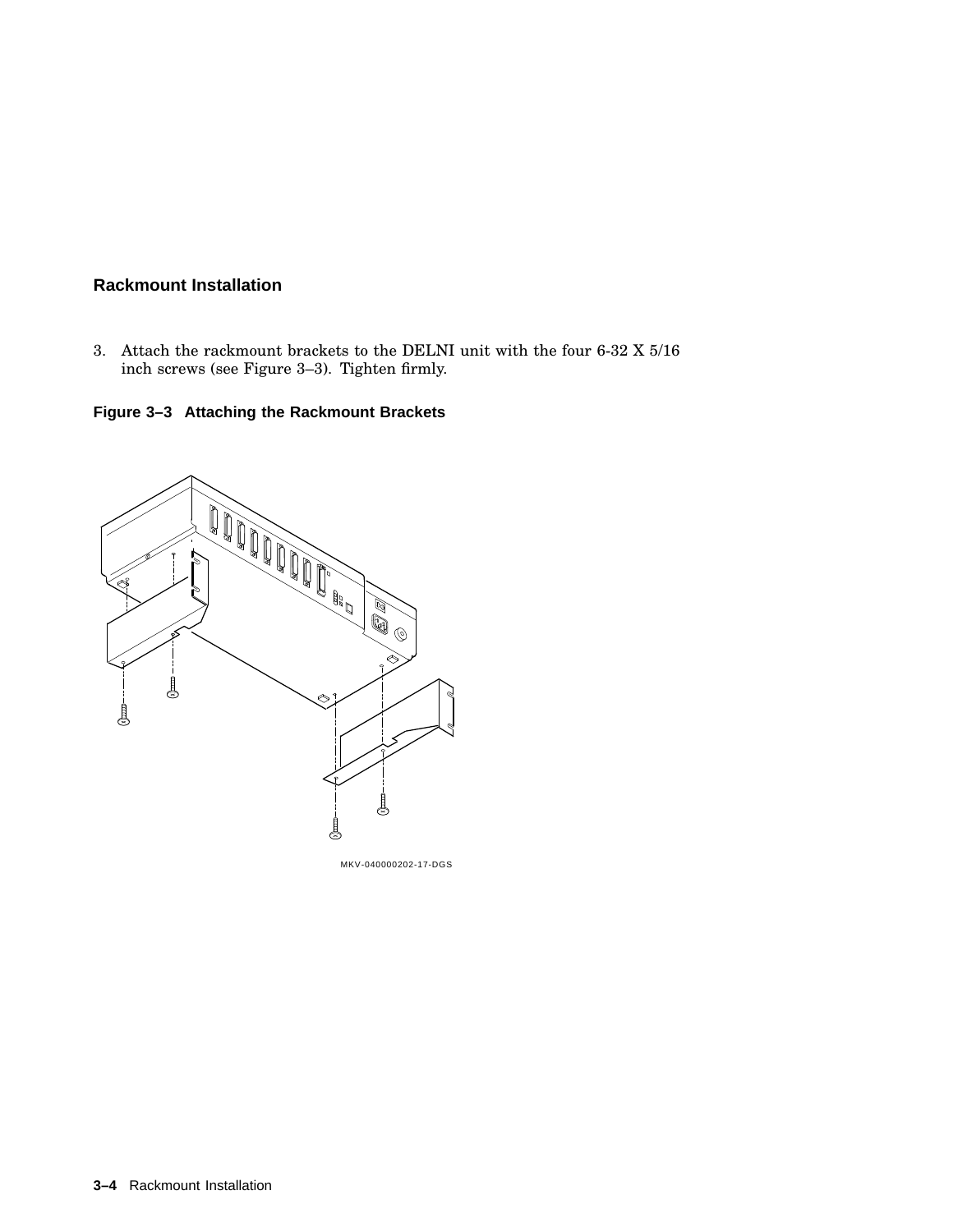3. Attach the rackmount brackets to the DELNI unit with the four 6-32 X 5/16 inch screws (see Figure 3–3). Tighten firmly.

**Figure 3–3 Attaching the Rackmount Brackets**



MKV-040000202-17-DGS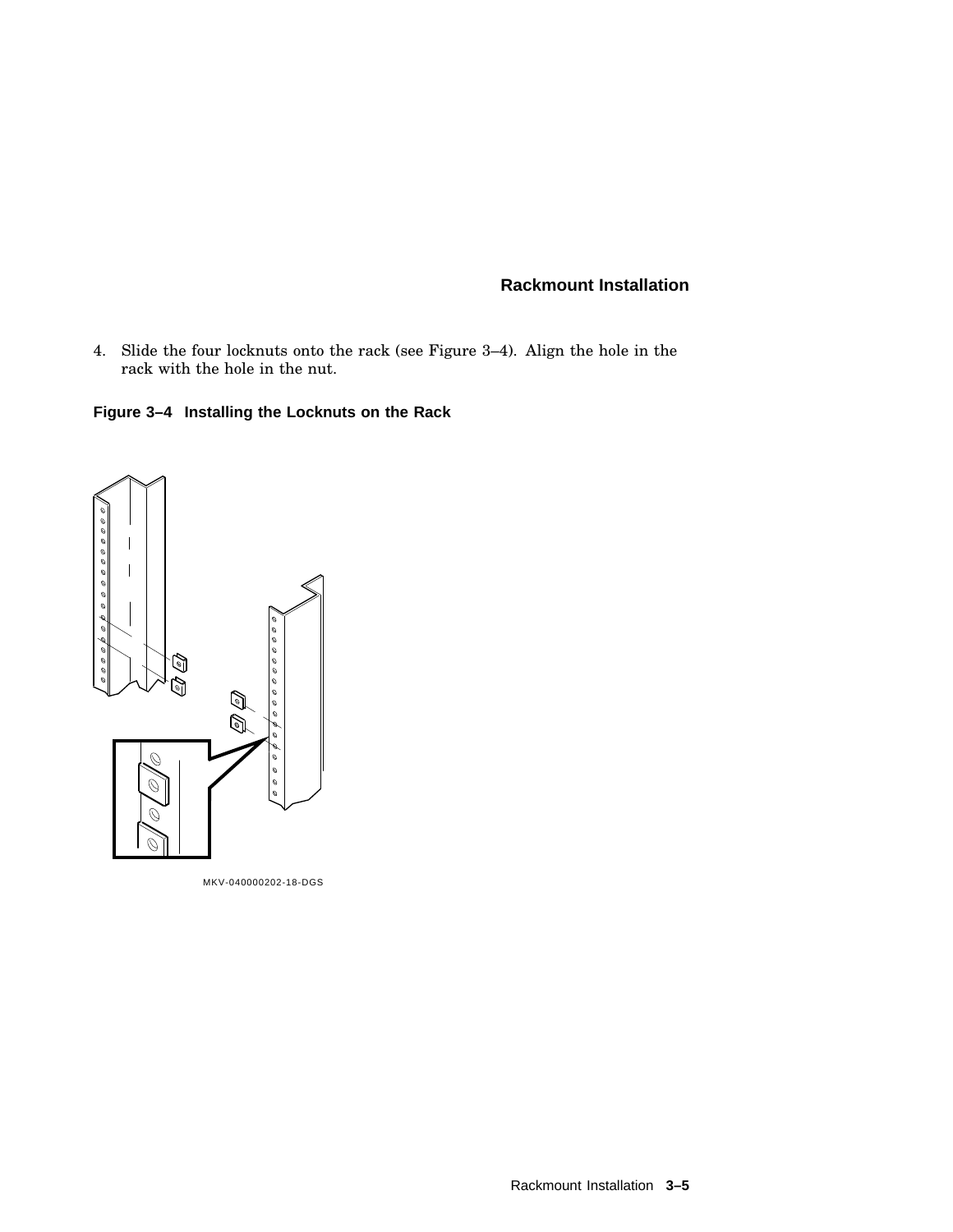- 4. Slide the four locknuts onto the rack (see Figure 3–4). Align the hole in the rack with the hole in the nut.
- **Figure 3–4 Installing the Locknuts on the Rack**



MKV-040000202-18-DGS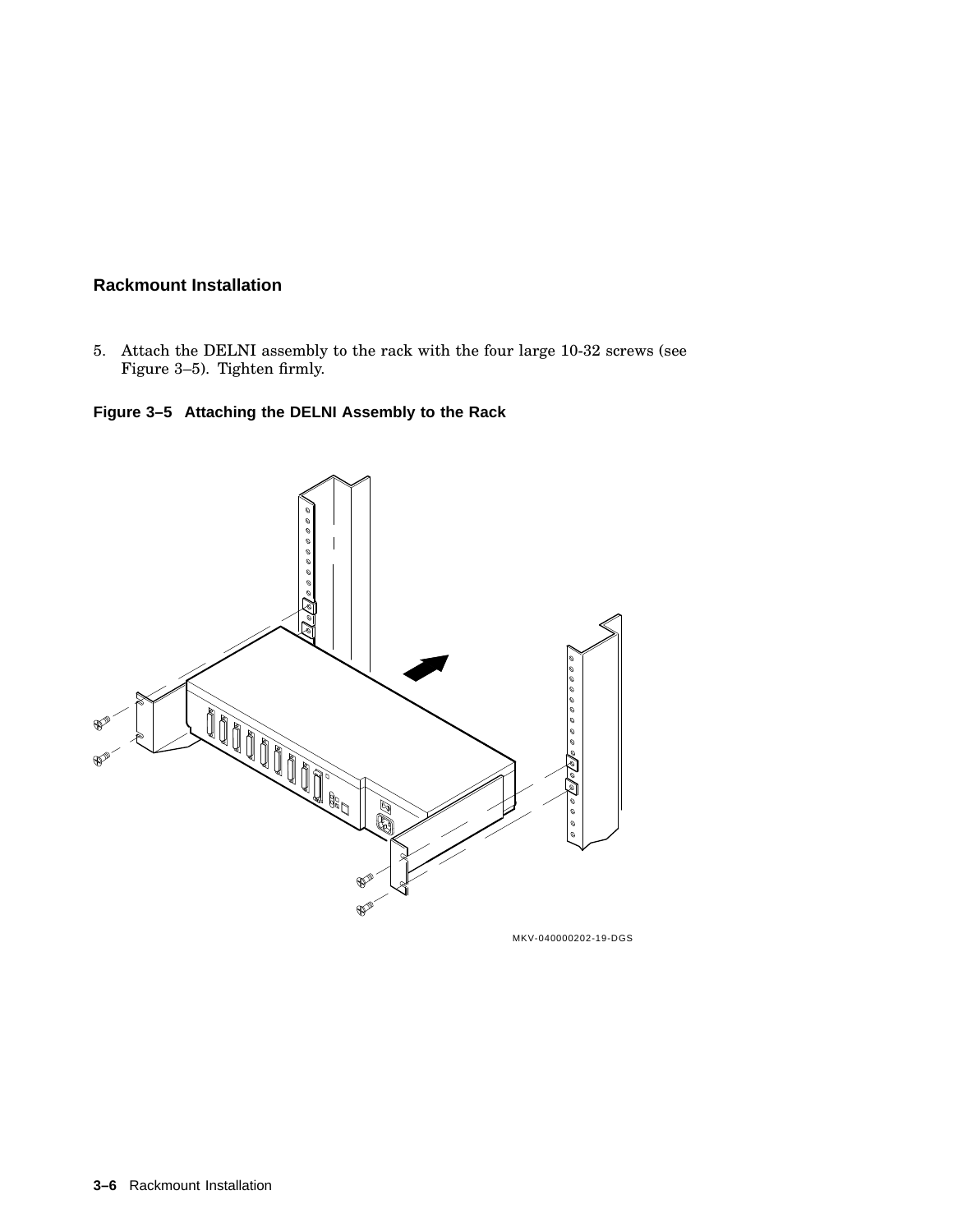5. Attach the DELNI assembly to the rack with the four large 10-32 screws (see Figure 3–5). Tighten firmly.

## **Figure 3–5 Attaching the DELNI Assembly to the Rack**

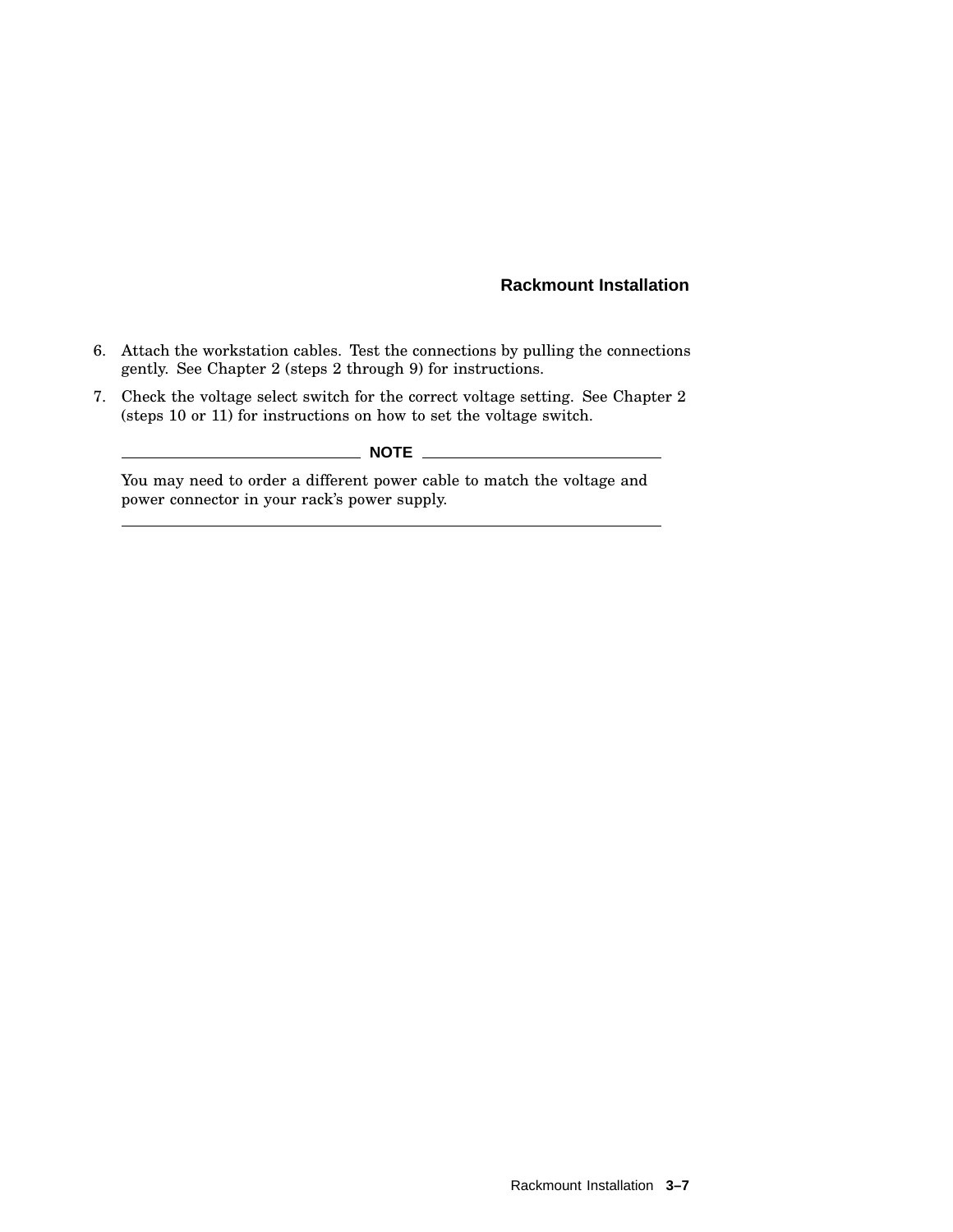- 6. Attach the workstation cables. Test the connections by pulling the connections gently. See Chapter 2 (steps 2 through 9) for instructions.
- 7. Check the voltage select switch for the correct voltage setting. See Chapter 2 (steps 10 or 11) for instructions on how to set the voltage switch.

## **NOTE** \_\_

You may need to order a different power cable to match the voltage and power connector in your rack's power supply.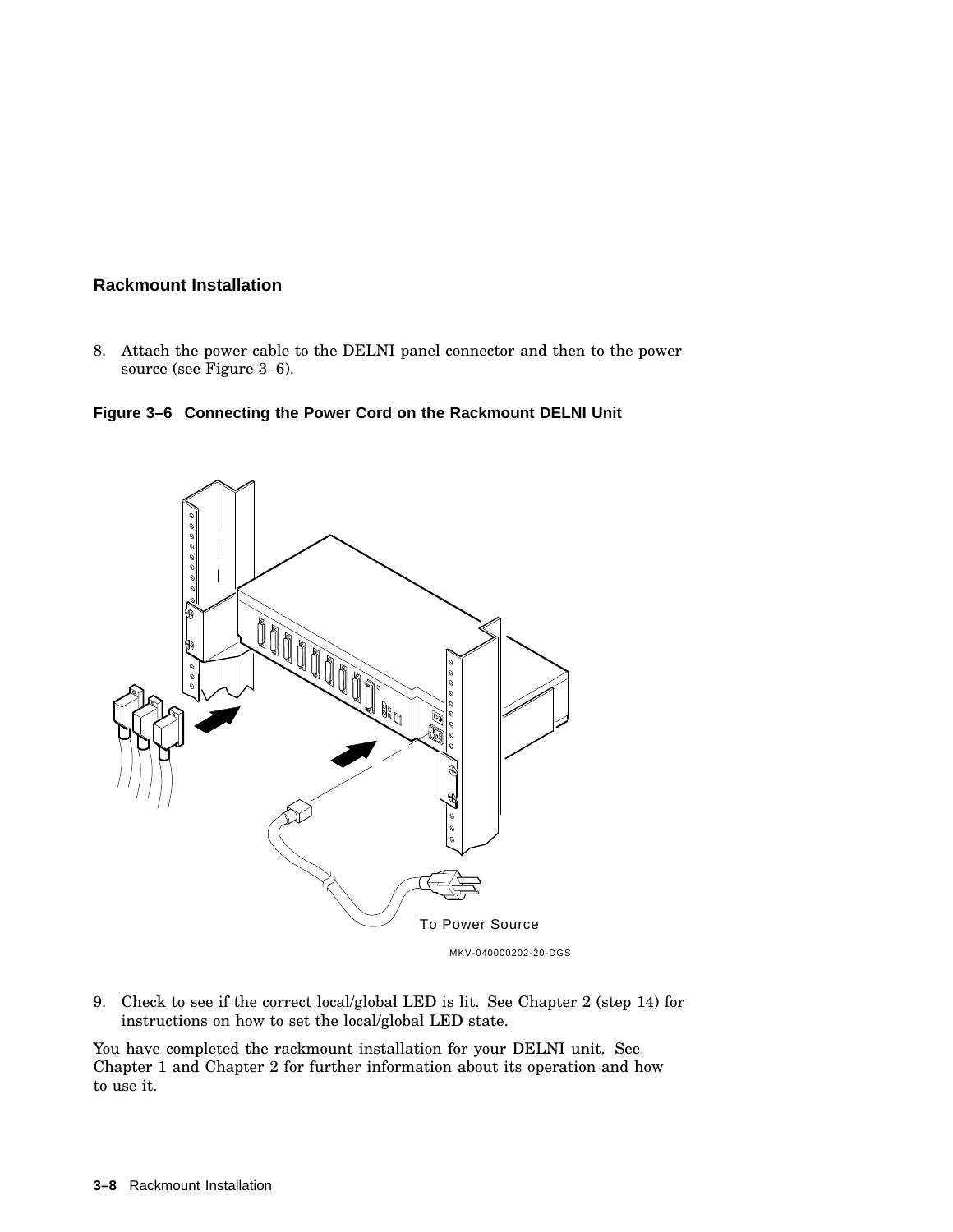8. Attach the power cable to the DELNI panel connector and then to the power source (see Figure 3–6).





9. Check to see if the correct local/global LED is lit. See Chapter 2 (step 14) for instructions on how to set the local/global LED state.

You have completed the rackmount installation for your DELNI unit. See Chapter 1 and Chapter 2 for further information about its operation and how to use it.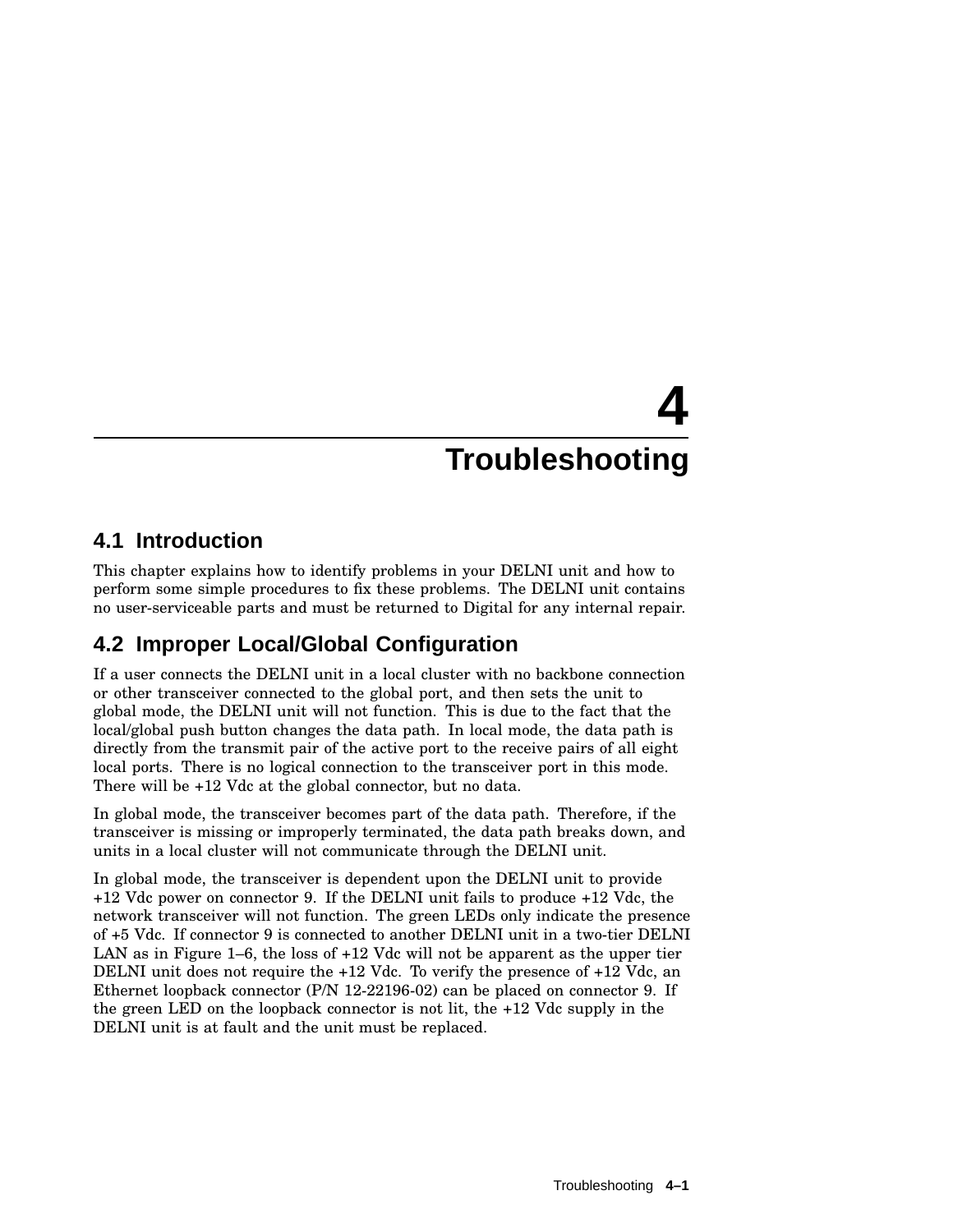## **4.1 Introduction**

This chapter explains how to identify problems in your DELNI unit and how to perform some simple procedures to fix these problems. The DELNI unit contains no user-serviceable parts and must be returned to Digital for any internal repair.

## **4.2 Improper Local/Global Configuration**

If a user connects the DELNI unit in a local cluster with no backbone connection or other transceiver connected to the global port, and then sets the unit to global mode, the DELNI unit will not function. This is due to the fact that the local/global push button changes the data path. In local mode, the data path is directly from the transmit pair of the active port to the receive pairs of all eight local ports. There is no logical connection to the transceiver port in this mode. There will be +12 Vdc at the global connector, but no data.

In global mode, the transceiver becomes part of the data path. Therefore, if the transceiver is missing or improperly terminated, the data path breaks down, and units in a local cluster will not communicate through the DELNI unit.

In global mode, the transceiver is dependent upon the DELNI unit to provide +12 Vdc power on connector 9. If the DELNI unit fails to produce +12 Vdc, the network transceiver will not function. The green LEDs only indicate the presence of +5 Vdc. If connector 9 is connected to another DELNI unit in a two-tier DELNI LAN as in Figure 1–6, the loss of +12 Vdc will not be apparent as the upper tier DELNI unit does not require the +12 Vdc. To verify the presence of +12 Vdc, an Ethernet loopback connector (P/N 12-22196-02) can be placed on connector 9. If the green LED on the loopback connector is not lit, the +12 Vdc supply in the DELNI unit is at fault and the unit must be replaced.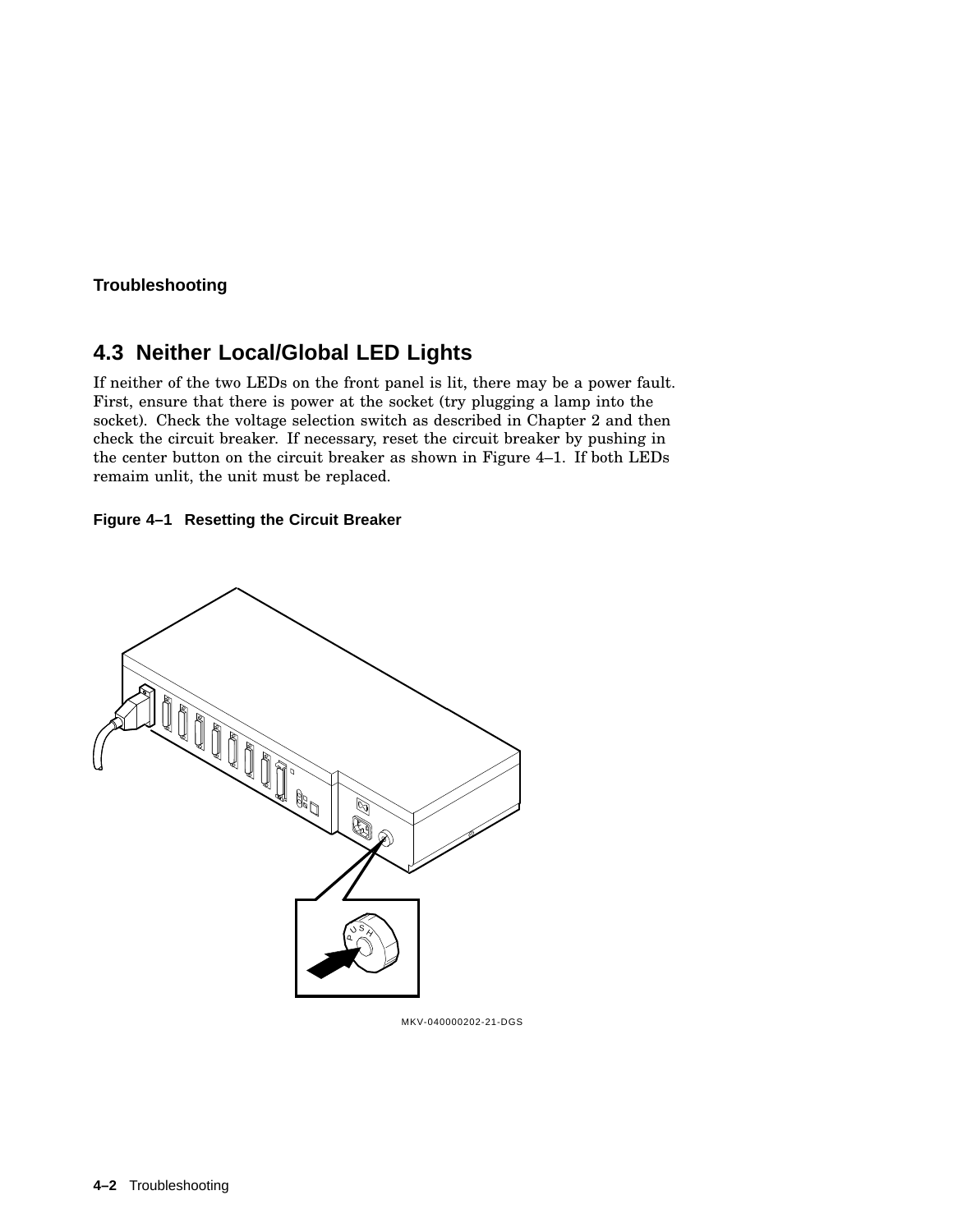## **4.3 Neither Local/Global LED Lights**

If neither of the two LEDs on the front panel is lit, there may be a power fault. First, ensure that there is power at the socket (try plugging a lamp into the socket). Check the voltage selection switch as described in Chapter 2 and then check the circuit breaker. If necessary, reset the circuit breaker by pushing in the center button on the circuit breaker as shown in Figure 4–1. If both LEDs remaim unlit, the unit must be replaced.





MKV-040000202-21-DGS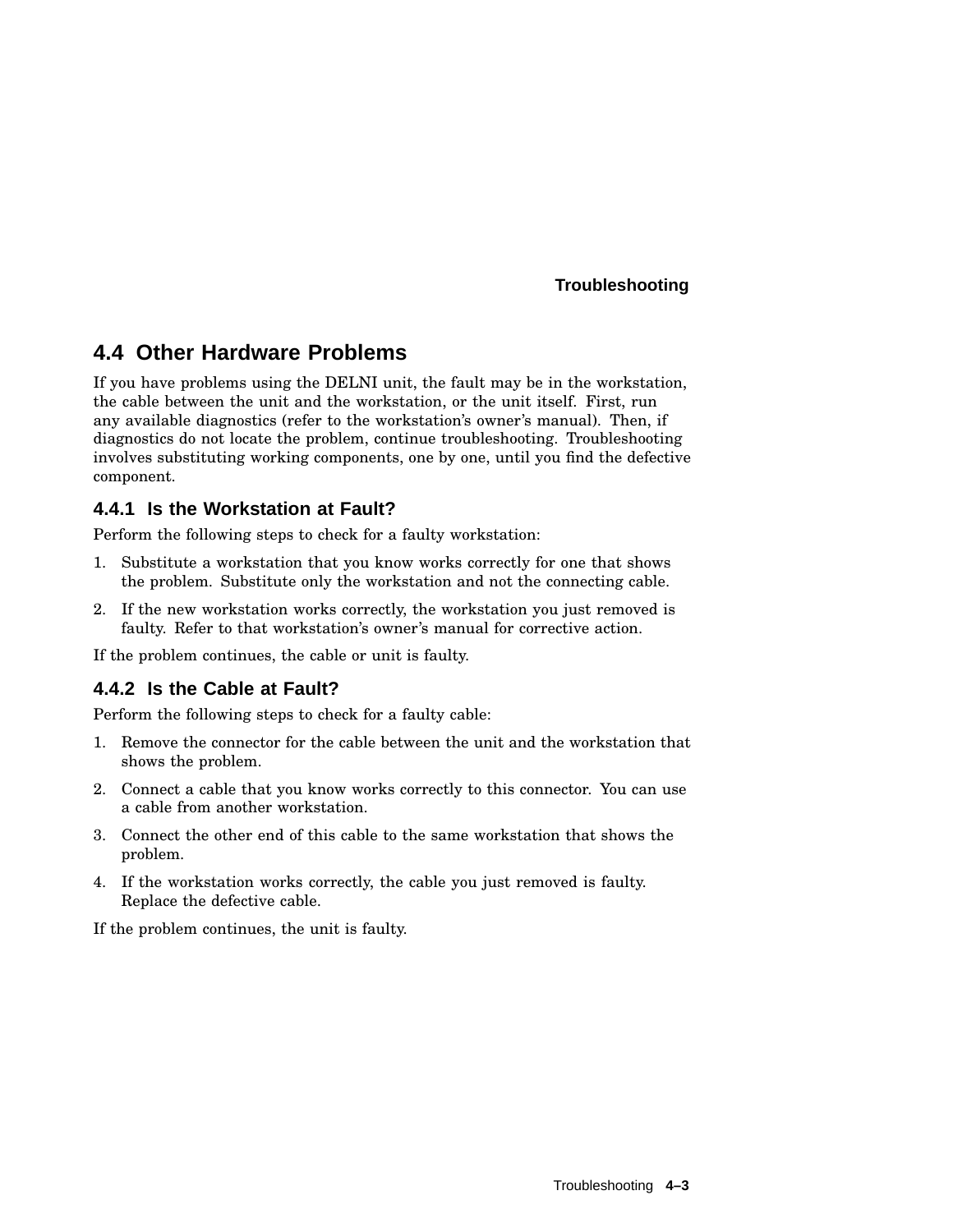## **4.4 Other Hardware Problems**

If you have problems using the DELNI unit, the fault may be in the workstation, the cable between the unit and the workstation, or the unit itself. First, run any available diagnostics (refer to the workstation's owner's manual). Then, if diagnostics do not locate the problem, continue troubleshooting. Troubleshooting involves substituting working components, one by one, until you find the defective component.

## **4.4.1 Is the Workstation at Fault?**

Perform the following steps to check for a faulty workstation:

- 1. Substitute a workstation that you know works correctly for one that shows the problem. Substitute only the workstation and not the connecting cable.
- 2. If the new workstation works correctly, the workstation you just removed is faulty. Refer to that workstation's owner's manual for corrective action.

If the problem continues, the cable or unit is faulty.

## **4.4.2 Is the Cable at Fault?**

Perform the following steps to check for a faulty cable:

- 1. Remove the connector for the cable between the unit and the workstation that shows the problem.
- 2. Connect a cable that you know works correctly to this connector. You can use a cable from another workstation.
- 3. Connect the other end of this cable to the same workstation that shows the problem.
- 4. If the workstation works correctly, the cable you just removed is faulty. Replace the defective cable.

If the problem continues, the unit is faulty.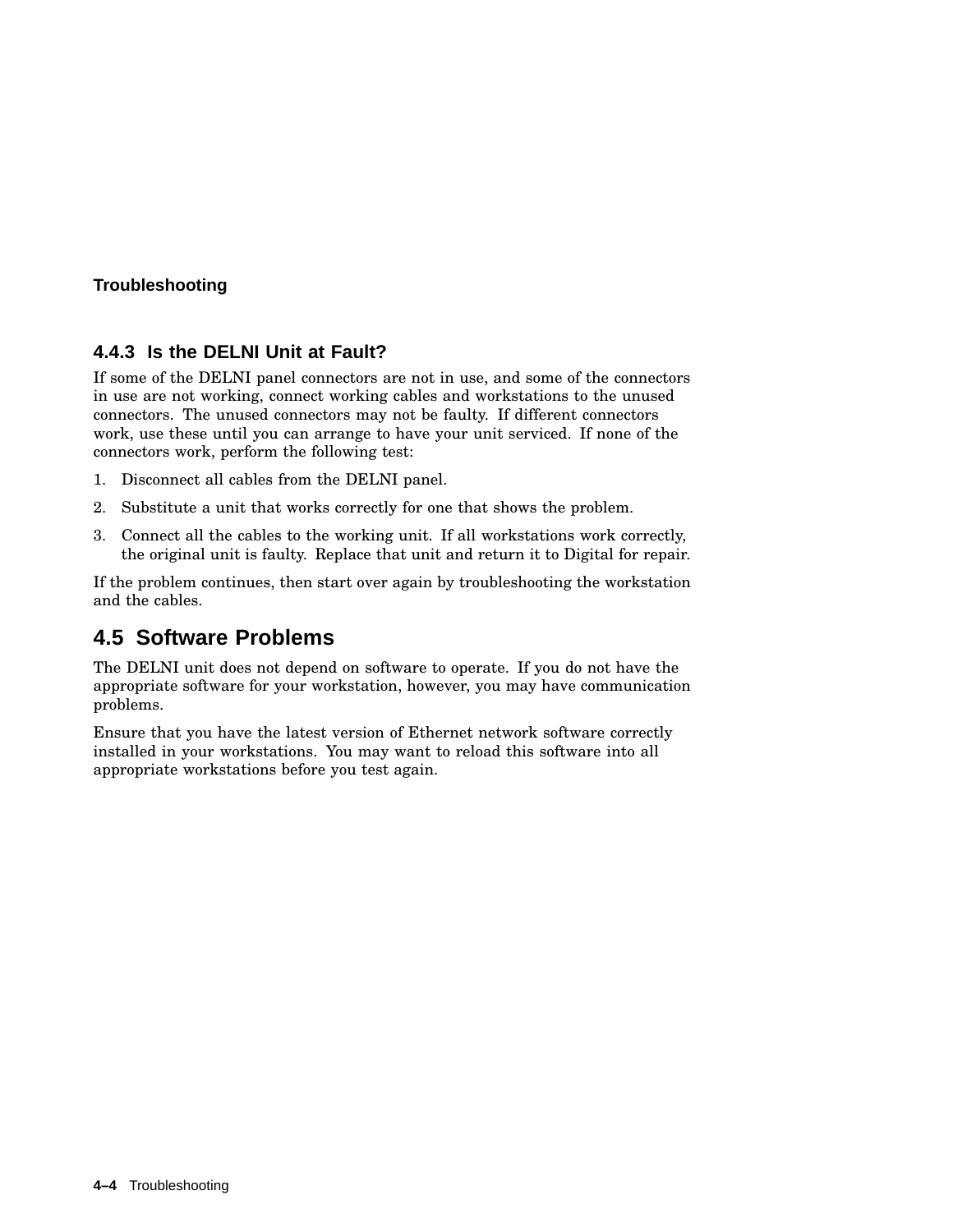## **4.4.3 Is the DELNI Unit at Fault?**

If some of the DELNI panel connectors are not in use, and some of the connectors in use are not working, connect working cables and workstations to the unused connectors. The unused connectors may not be faulty. If different connectors work, use these until you can arrange to have your unit serviced. If none of the connectors work, perform the following test:

- 1. Disconnect all cables from the DELNI panel.
- 2. Substitute a unit that works correctly for one that shows the problem.
- 3. Connect all the cables to the working unit. If all workstations work correctly, the original unit is faulty. Replace that unit and return it to Digital for repair.

If the problem continues, then start over again by troubleshooting the workstation and the cables.

## **4.5 Software Problems**

The DELNI unit does not depend on software to operate. If you do not have the appropriate software for your workstation, however, you may have communication problems.

Ensure that you have the latest version of Ethernet network software correctly installed in your workstations. You may want to reload this software into all appropriate workstations before you test again.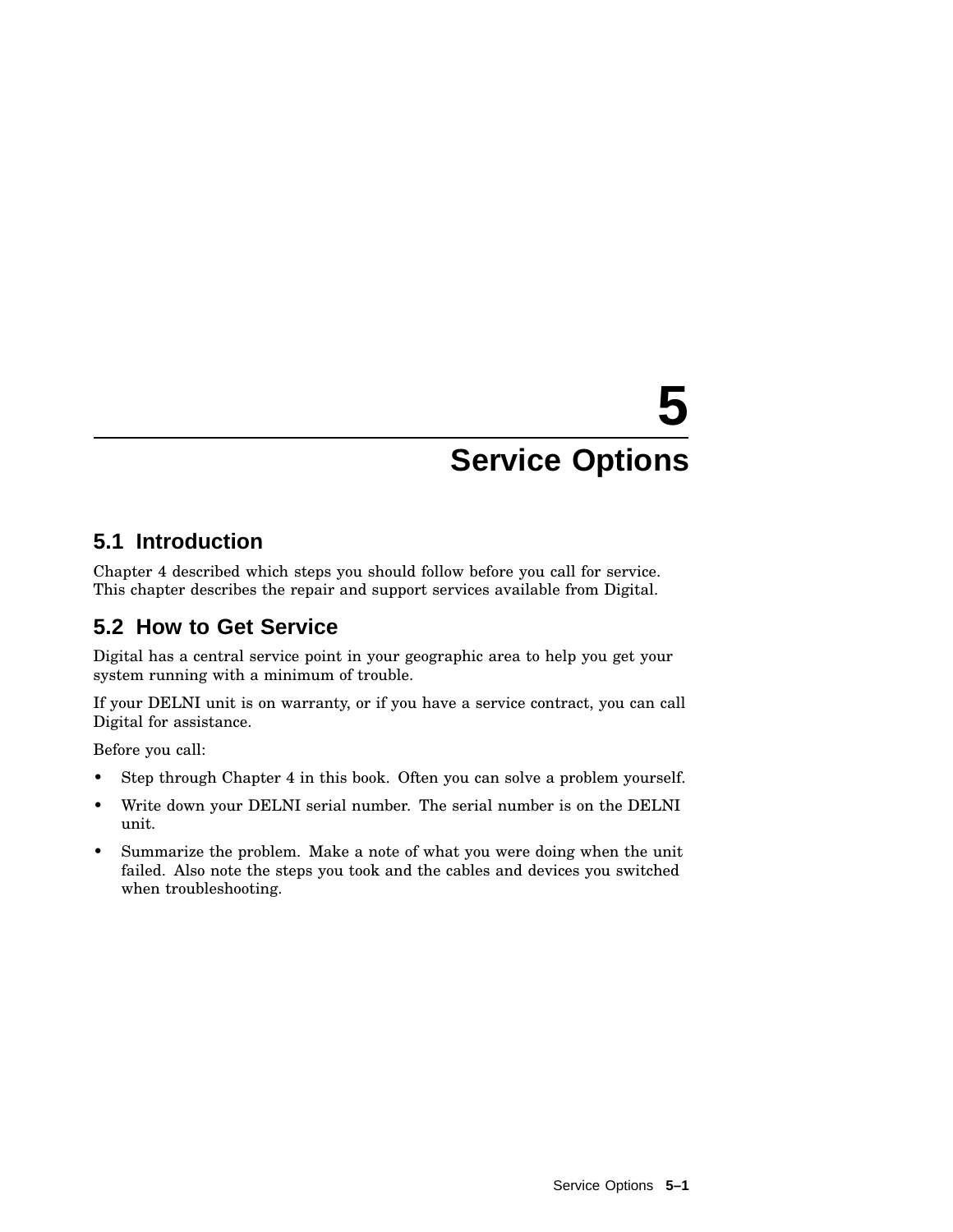# **5 Service Options**

## **5.1 Introduction**

Chapter 4 described which steps you should follow before you call for service. This chapter describes the repair and support services available from Digital.

## **5.2 How to Get Service**

Digital has a central service point in your geographic area to help you get your system running with a minimum of trouble.

If your DELNI unit is on warranty, or if you have a service contract, you can call Digital for assistance.

Before you call:

- Step through Chapter 4 in this book. Often you can solve a problem yourself.
- Write down your DELNI serial number. The serial number is on the DELNI unit.
- Summarize the problem. Make a note of what you were doing when the unit failed. Also note the steps you took and the cables and devices you switched when troubleshooting.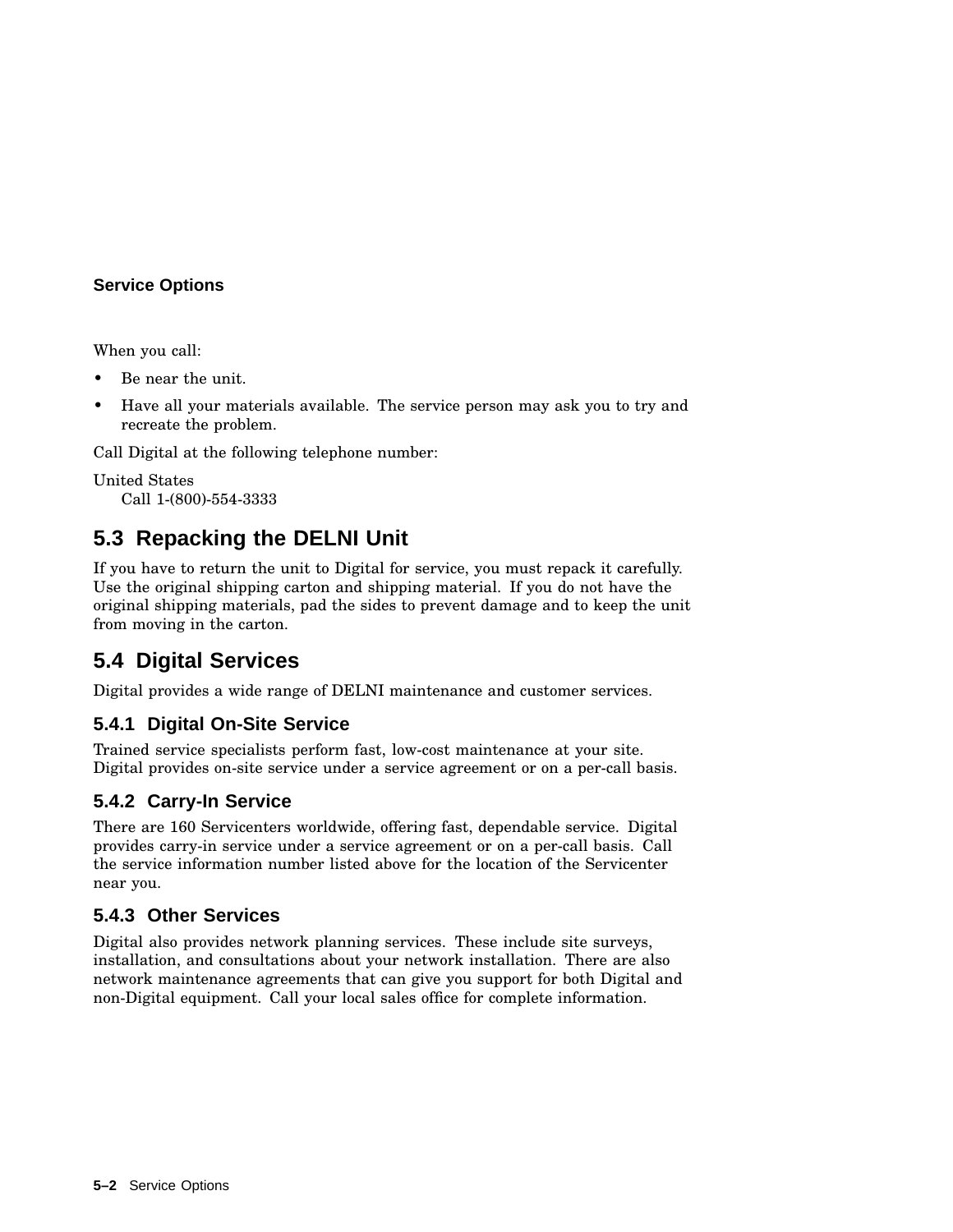## **Service Options**

When you call:

- Be near the unit.
- Have all your materials available. The service person may ask you to try and recreate the problem.

Call Digital at the following telephone number:

United States Call 1-(800)-554-3333

## **5.3 Repacking the DELNI Unit**

If you have to return the unit to Digital for service, you must repack it carefully. Use the original shipping carton and shipping material. If you do not have the original shipping materials, pad the sides to prevent damage and to keep the unit from moving in the carton.

## **5.4 Digital Services**

Digital provides a wide range of DELNI maintenance and customer services.

## **5.4.1 Digital On-Site Service**

Trained service specialists perform fast, low-cost maintenance at your site. Digital provides on-site service under a service agreement or on a per-call basis.

## **5.4.2 Carry-In Service**

There are 160 Servicenters worldwide, offering fast, dependable service. Digital provides carry-in service under a service agreement or on a per-call basis. Call the service information number listed above for the location of the Servicenter near you.

## **5.4.3 Other Services**

Digital also provides network planning services. These include site surveys, installation, and consultations about your network installation. There are also network maintenance agreements that can give you support for both Digital and non-Digital equipment. Call your local sales office for complete information.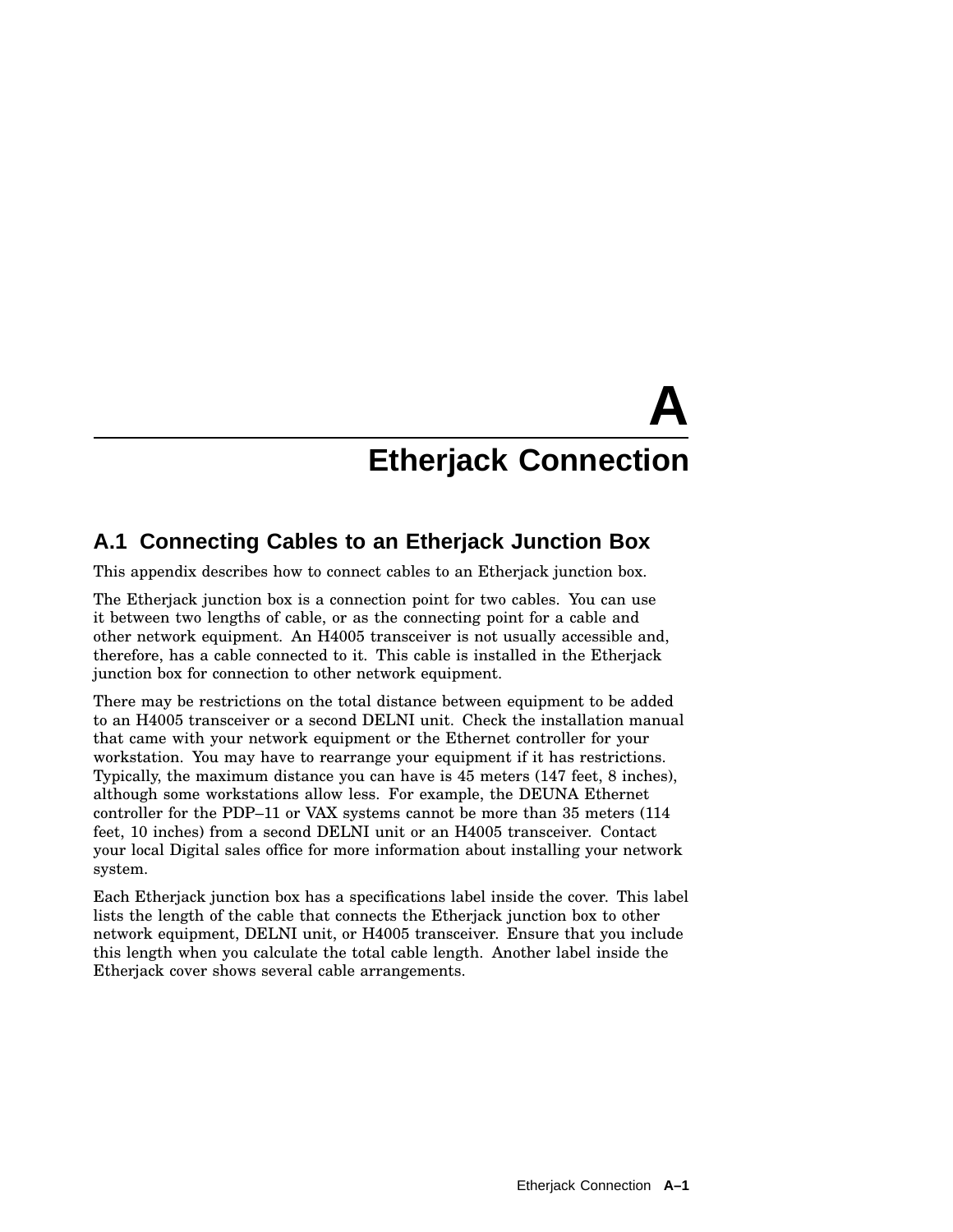## **A.1 Connecting Cables to an Etherjack Junction Box**

This appendix describes how to connect cables to an Etherjack junction box.

The Etherjack junction box is a connection point for two cables. You can use it between two lengths of cable, or as the connecting point for a cable and other network equipment. An H4005 transceiver is not usually accessible and, therefore, has a cable connected to it. This cable is installed in the Etherjack junction box for connection to other network equipment.

There may be restrictions on the total distance between equipment to be added to an H4005 transceiver or a second DELNI unit. Check the installation manual that came with your network equipment or the Ethernet controller for your workstation. You may have to rearrange your equipment if it has restrictions. Typically, the maximum distance you can have is 45 meters (147 feet, 8 inches), although some workstations allow less. For example, the DEUNA Ethernet controller for the PDP–11 or VAX systems cannot be more than 35 meters (114 feet, 10 inches) from a second DELNI unit or an H4005 transceiver. Contact your local Digital sales office for more information about installing your network system.

Each Etherjack junction box has a specifications label inside the cover. This label lists the length of the cable that connects the Etherjack junction box to other network equipment, DELNI unit, or H4005 transceiver. Ensure that you include this length when you calculate the total cable length. Another label inside the Etherjack cover shows several cable arrangements.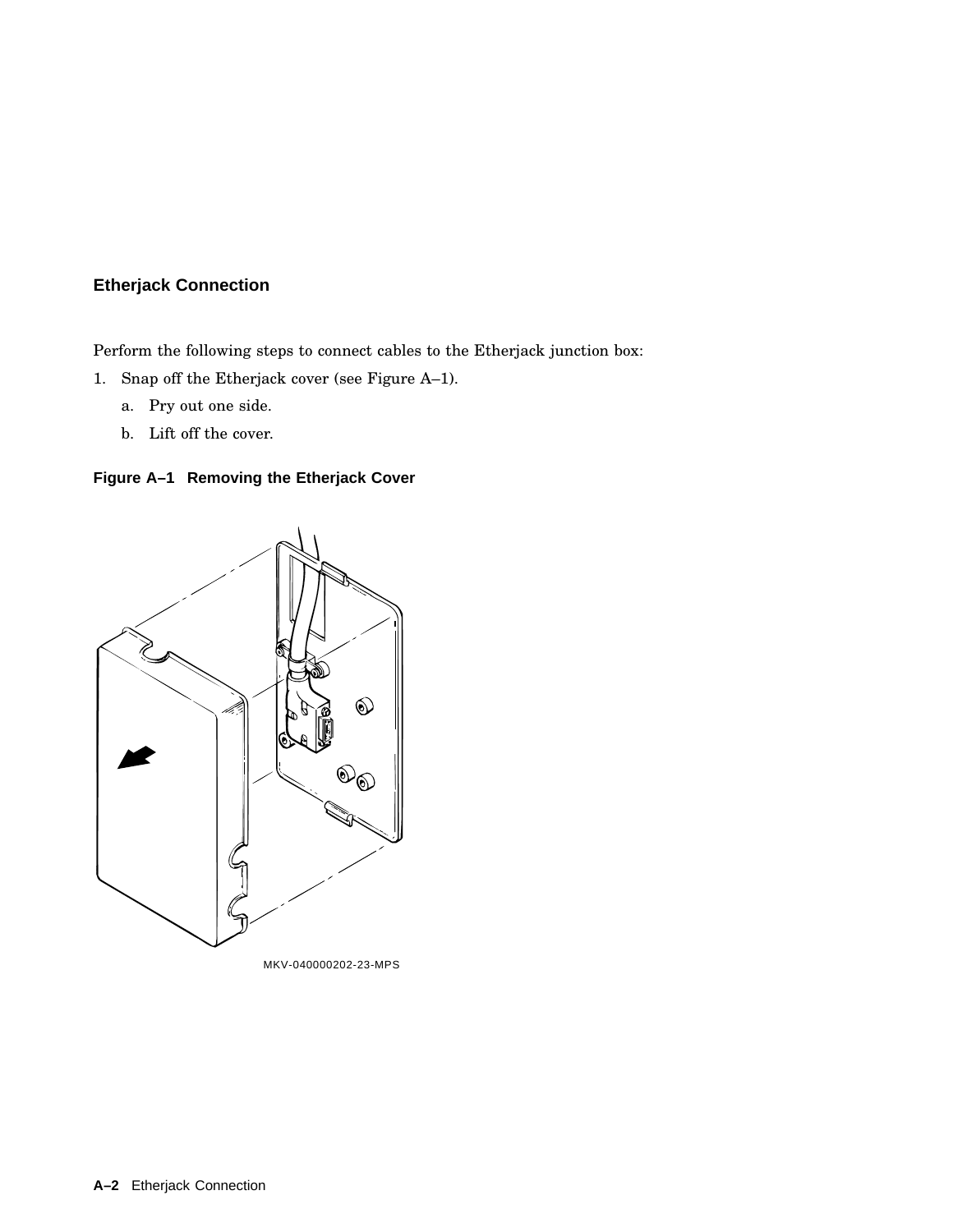Perform the following steps to connect cables to the Etherjack junction box:

- 1. Snap off the Etherjack cover (see Figure A–1).
	- a. Pry out one side.
	- b. Lift off the cover.



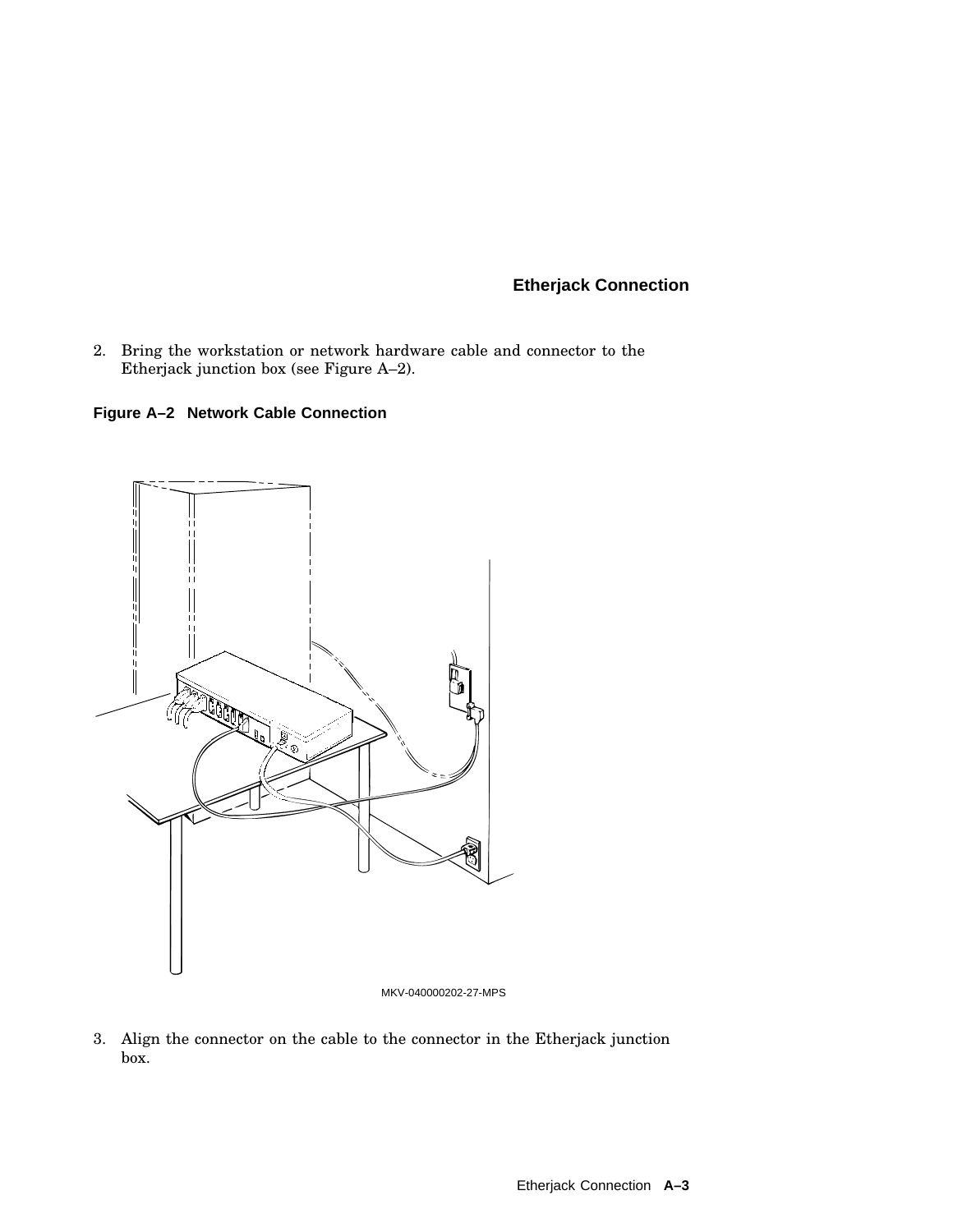2. Bring the workstation or network hardware cable and connector to the Etherjack junction box (see Figure A–2).

**Figure A–2 Network Cable Connection**



MKV-040000202-27-MPS

3. Align the connector on the cable to the connector in the Etherjack junction box.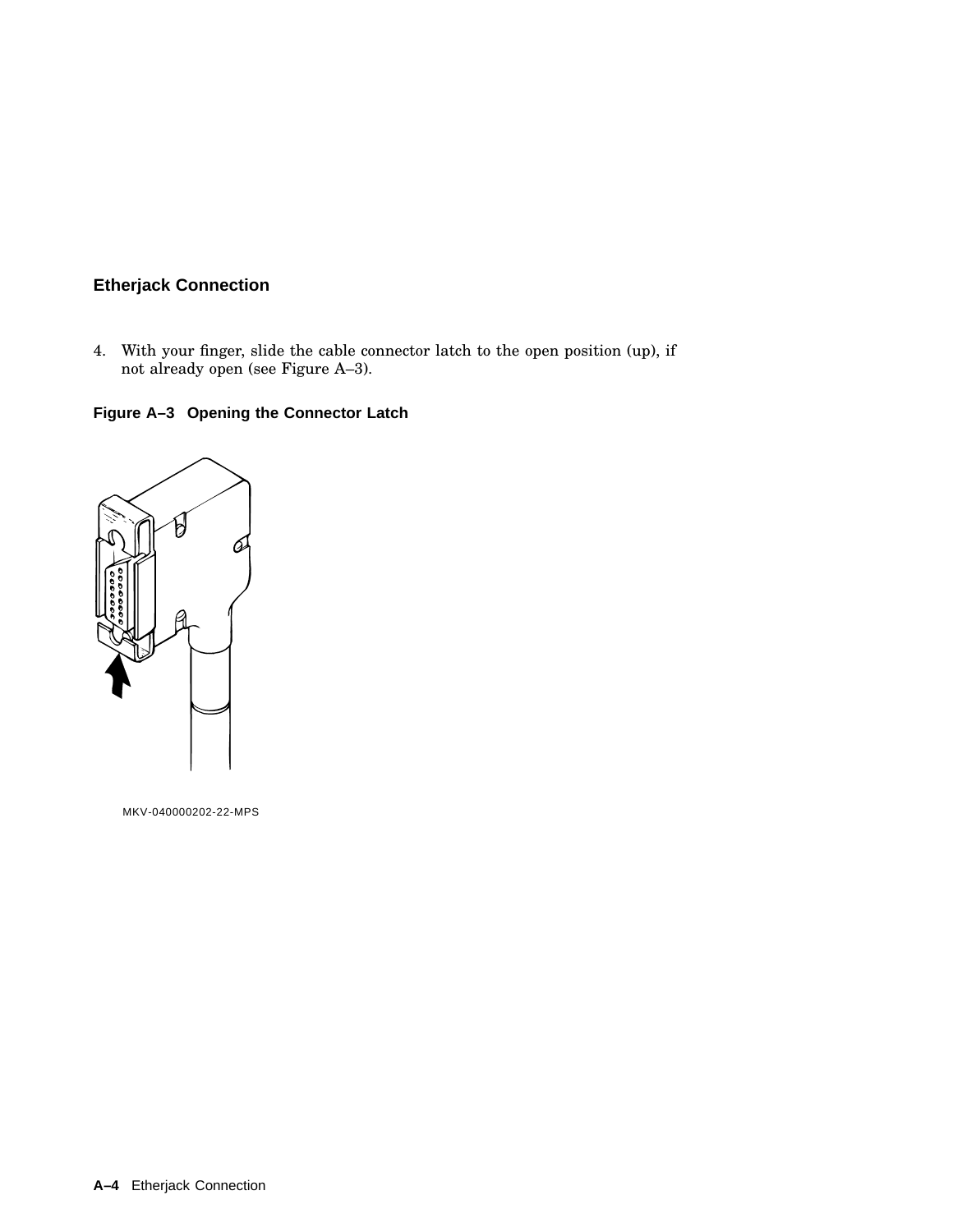4. With your finger, slide the cable connector latch to the open position (up), if not already open (see Figure A–3).

**Figure A–3 Opening the Connector Latch**



MKV-040000202-22-MPS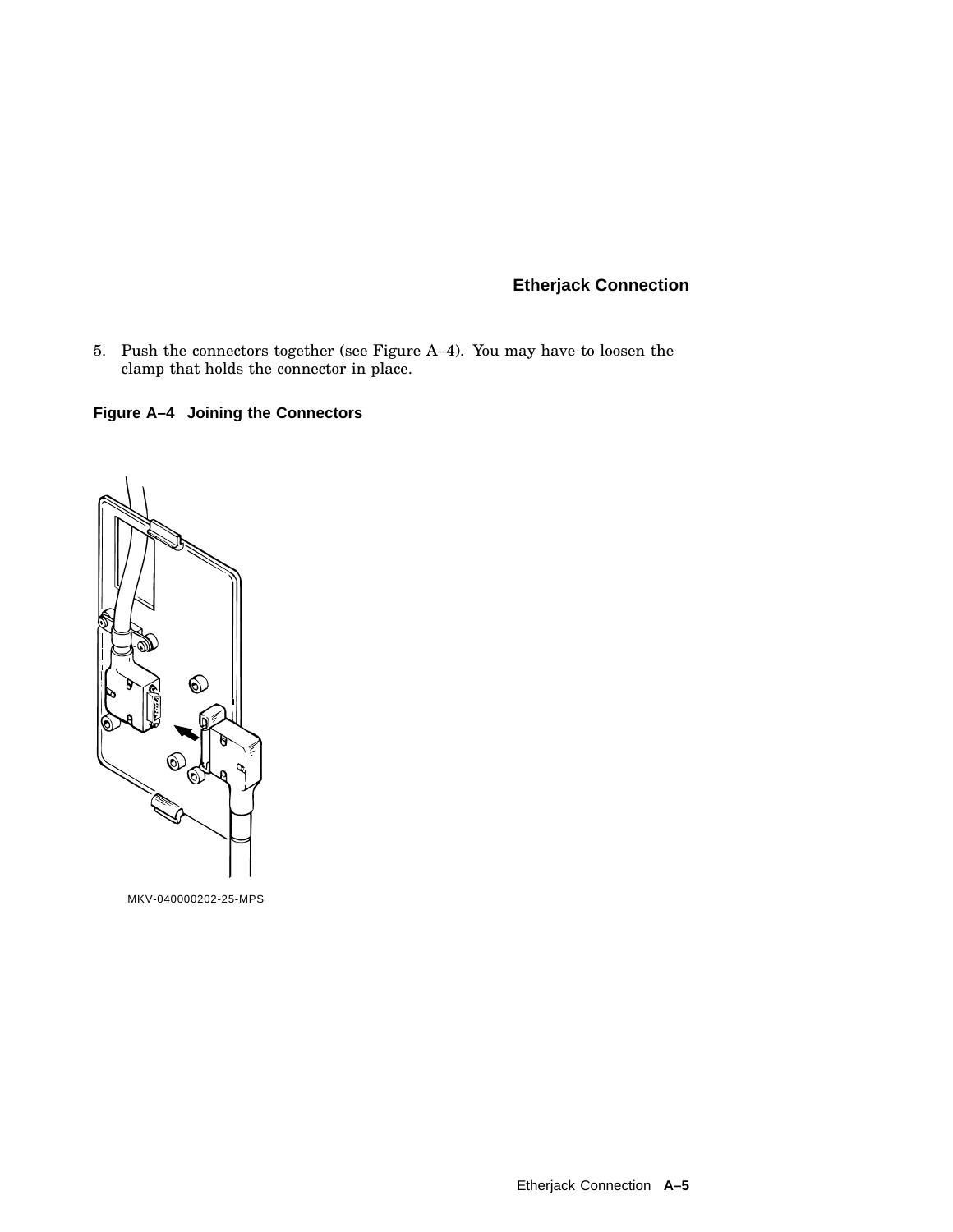5. Push the connectors together (see Figure A–4). You may have to loosen the clamp that holds the connector in place.

## **Figure A–4 Joining the Connectors**



MKV-040000202-25-MPS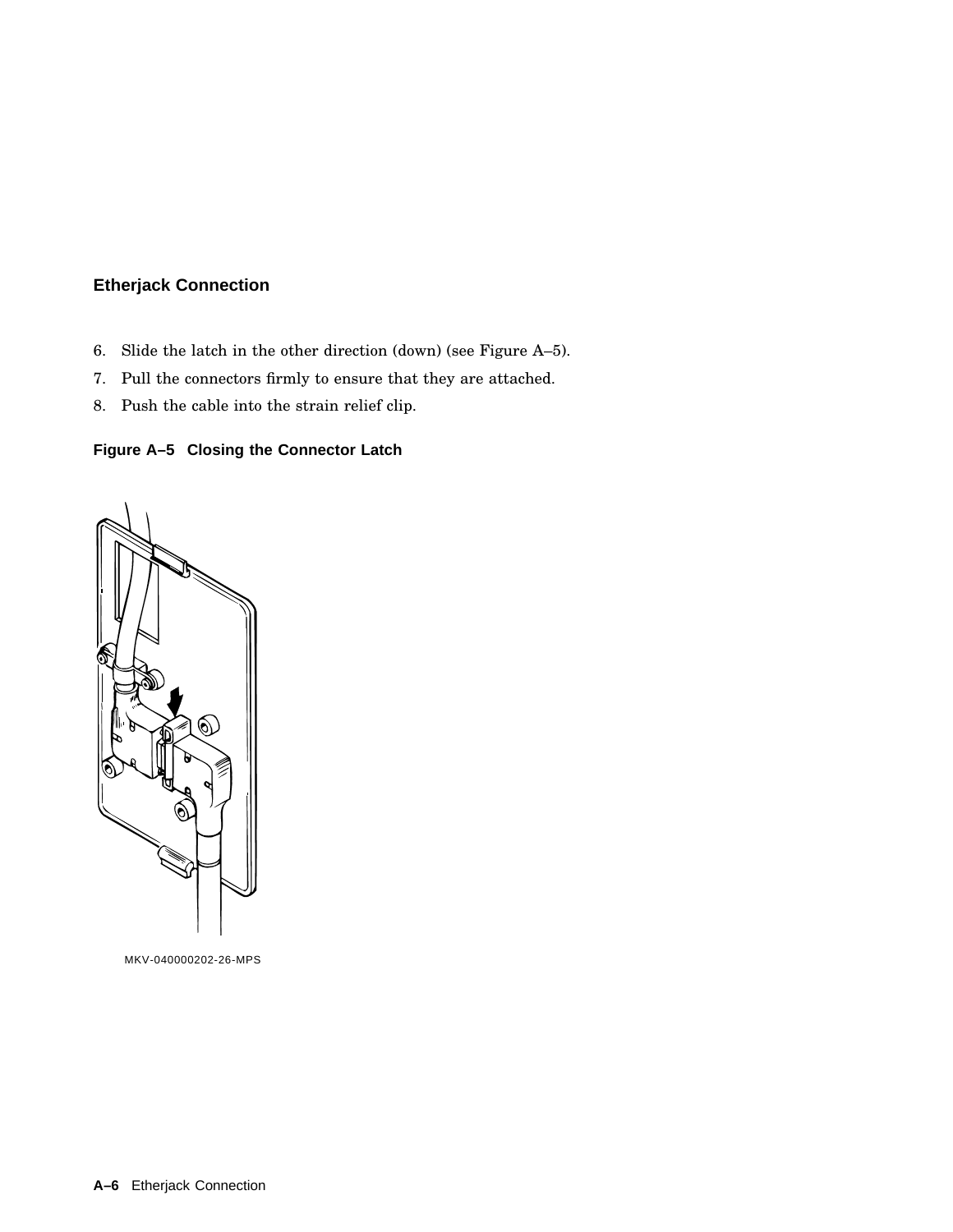- 6. Slide the latch in the other direction (down) (see Figure A–5).
- 7. Pull the connectors firmly to ensure that they are attached.
- 8. Push the cable into the strain relief clip.

## **Figure A–5 Closing the Connector Latch**



MKV-040000202-26-MPS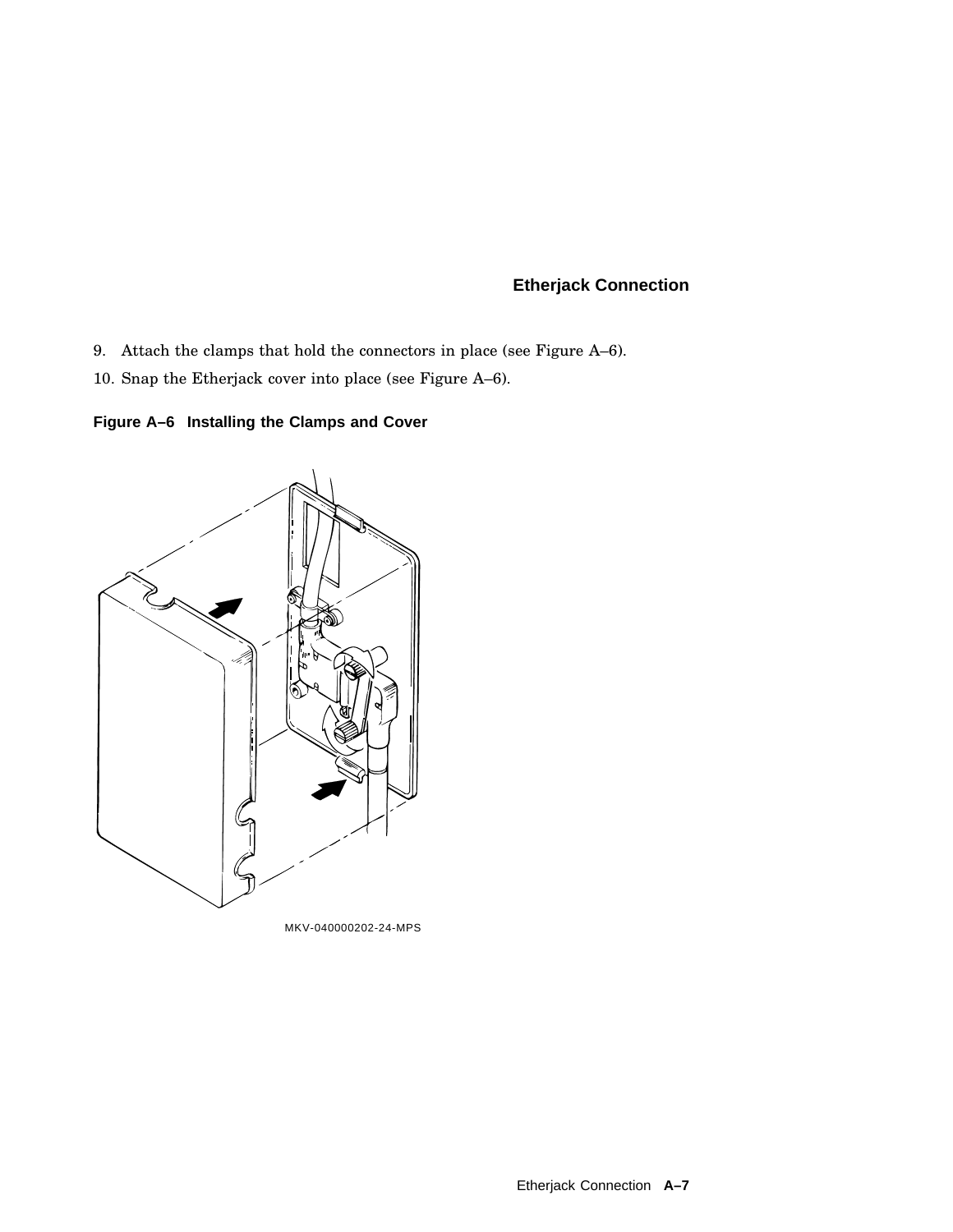- 9. Attach the clamps that hold the connectors in place (see Figure A–6).
- 10. Snap the Etherjack cover into place (see Figure A–6).

**Figure A–6 Installing the Clamps and Cover**